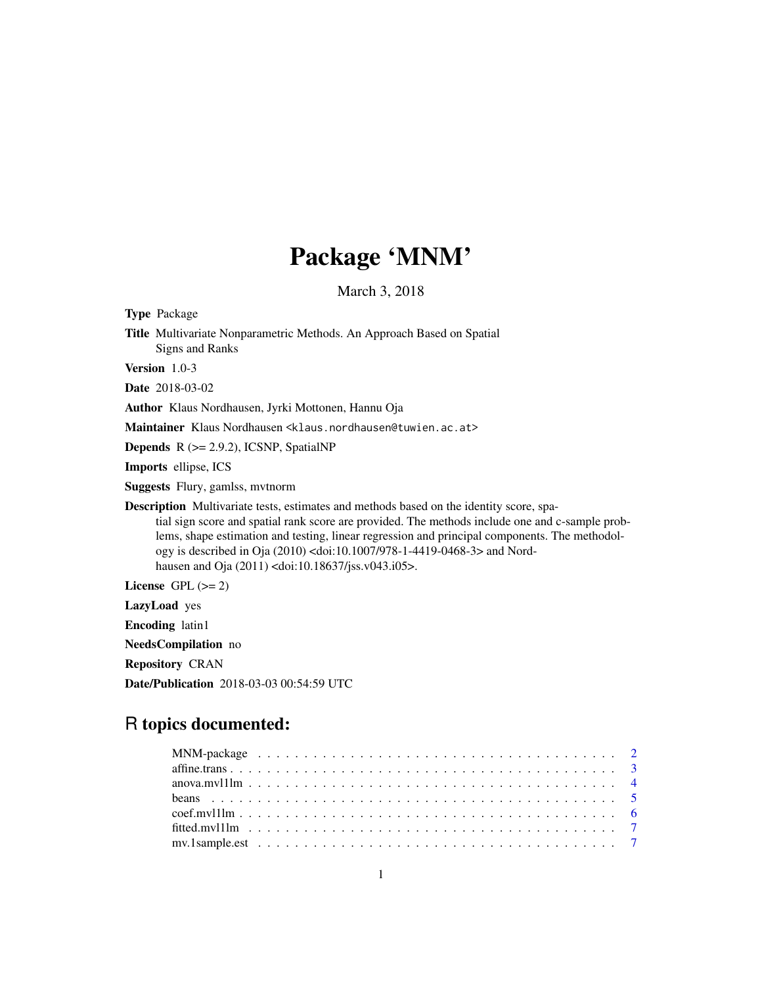# Package 'MNM'

March 3, 2018

<span id="page-0-0"></span>Type Package Title Multivariate Nonparametric Methods. An Approach Based on Spatial Signs and Ranks Version 1.0-3 Date 2018-03-02 Author Klaus Nordhausen, Jyrki Mottonen, Hannu Oja Maintainer Klaus Nordhausen <klaus.nordhausen@tuwien.ac.at> Depends R (>= 2.9.2), ICSNP, SpatialNP Imports ellipse, ICS Suggests Flury, gamlss, mvtnorm Description Multivariate tests, estimates and methods based on the identity score, spatial sign score and spatial rank score are provided. The methods include one and c-sample problems, shape estimation and testing, linear regression and principal components. The methodology is described in Oja (2010) <doi:10.1007/978-1-4419-0468-3> and Nordhausen and Oja (2011) <doi:10.18637/jss.v043.i05>.

License GPL  $(>= 2)$ 

LazyLoad yes

Encoding latin1

NeedsCompilation no

Repository CRAN

Date/Publication 2018-03-03 00:54:59 UTC

# R topics documented: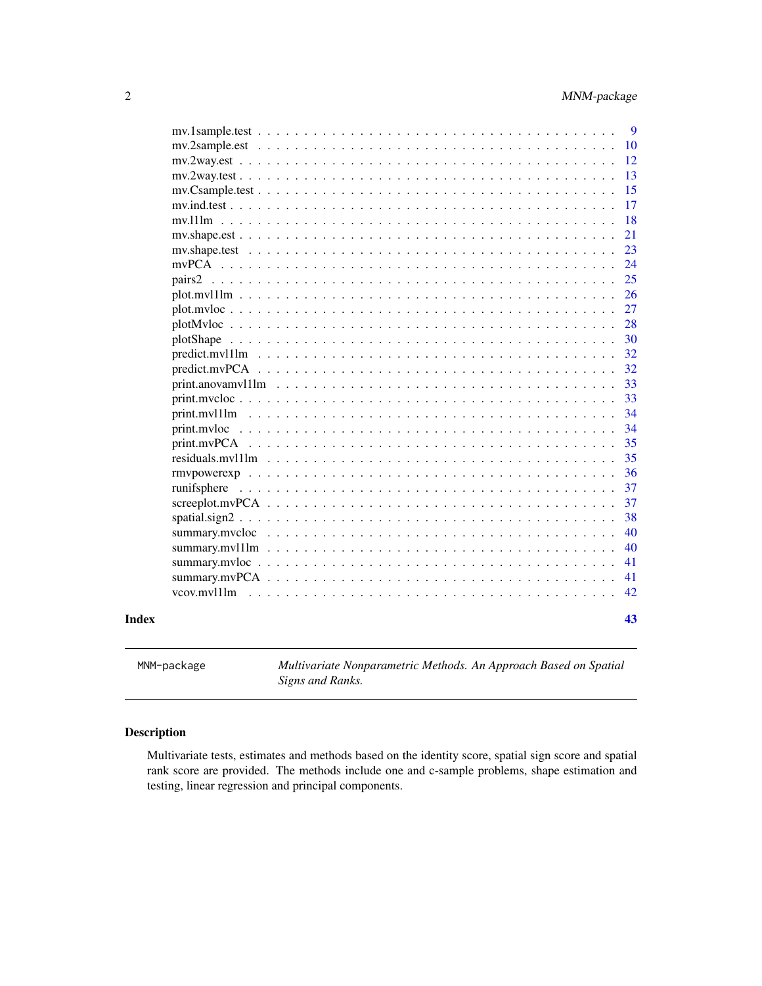<span id="page-1-0"></span>

| Index |                                  | 43       |
|-------|----------------------------------|----------|
|       |                                  | 42       |
|       |                                  | 41       |
|       |                                  | 41       |
|       |                                  | 40       |
|       |                                  | 40       |
|       |                                  | 38       |
|       |                                  | 37       |
|       |                                  | 37       |
|       |                                  | 36       |
|       | residuals.myl1lm                 | 35       |
|       |                                  | 35       |
|       |                                  | 34       |
|       | $print.mv11lm \dots \dots \dots$ | 34       |
|       |                                  | 33       |
|       |                                  | 33       |
|       |                                  | 32       |
|       |                                  | 32       |
|       |                                  | 30       |
|       |                                  | 28       |
|       |                                  | 27       |
|       |                                  | 26       |
|       | pairs2                           | 25       |
|       | mv.shape.test                    | 23<br>24 |
|       | mv.shape. est                    | 21       |
|       | $mv.111m$                        | 18       |
|       |                                  | 17       |
|       |                                  | 15       |
|       |                                  | 13       |
|       |                                  | 12       |
|       |                                  | 10       |
|       |                                  | 9        |
|       |                                  |          |

MNM-package *Multivariate Nonparametric Methods. An Approach Based on Spatial Signs and Ranks.*

# Description

Multivariate tests, estimates and methods based on the identity score, spatial sign score and spatial rank score are provided. The methods include one and c-sample problems, shape estimation and testing, linear regression and principal components.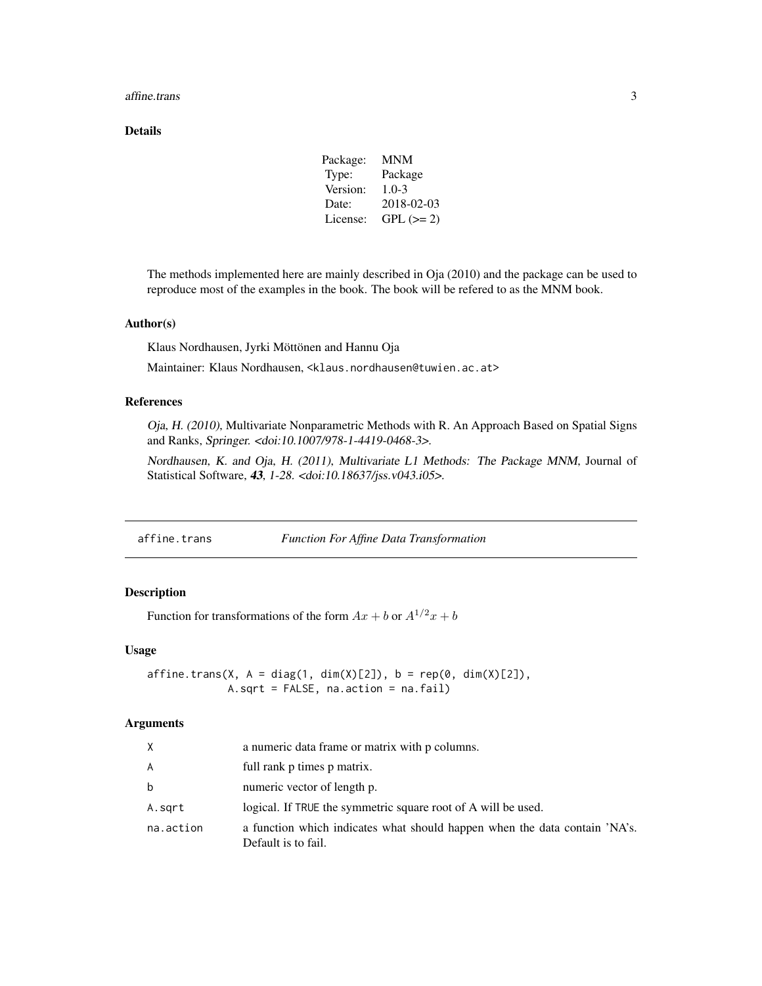#### <span id="page-2-0"></span>affine.trans 3

#### Details

| Package: | MNM        |
|----------|------------|
| Type:    | Package    |
| Version: | $1.0 - 3$  |
| Date:    | 2018-02-03 |
| License: | $GPL (=2)$ |

The methods implemented here are mainly described in Oja (2010) and the package can be used to reproduce most of the examples in the book. The book will be refered to as the MNM book.

# Author(s)

Klaus Nordhausen, Jyrki Möttönen and Hannu Oja

Maintainer: Klaus Nordhausen, <klaus.nordhausen@tuwien.ac.at>

# References

Oja, H. (2010), Multivariate Nonparametric Methods with R. An Approach Based on Spatial Signs and Ranks, Springer. <doi:10.1007/978-1-4419-0468-3>.

Nordhausen, K. and Oja, H. (2011), Multivariate L1 Methods: The Package MNM, Journal of Statistical Software, 43, 1-28. <doi:10.18637/jss.v043.i05>.

| affine.trans | <b>Function For Affine Data Transformation</b> |
|--------------|------------------------------------------------|
|              |                                                |

# Description

Function for transformations of the form  $Ax + b$  or  $A^{1/2}x + b$ 

#### Usage

 $affine.transpose(X, A = diag(1, dim(X)[2]), b = rep(0, dim(X)[2]),$ A.sqrt = FALSE, na.action = na.fail)

#### Arguments

| X         | a numeric data frame or matrix with p columns.                                                    |
|-----------|---------------------------------------------------------------------------------------------------|
| A         | full rank p times p matrix.                                                                       |
| b         | numeric vector of length p.                                                                       |
| A.sqrt    | logical. If TRUE the symmetric square root of A will be used.                                     |
| na.action | a function which indicates what should happen when the data contain 'NA's.<br>Default is to fail. |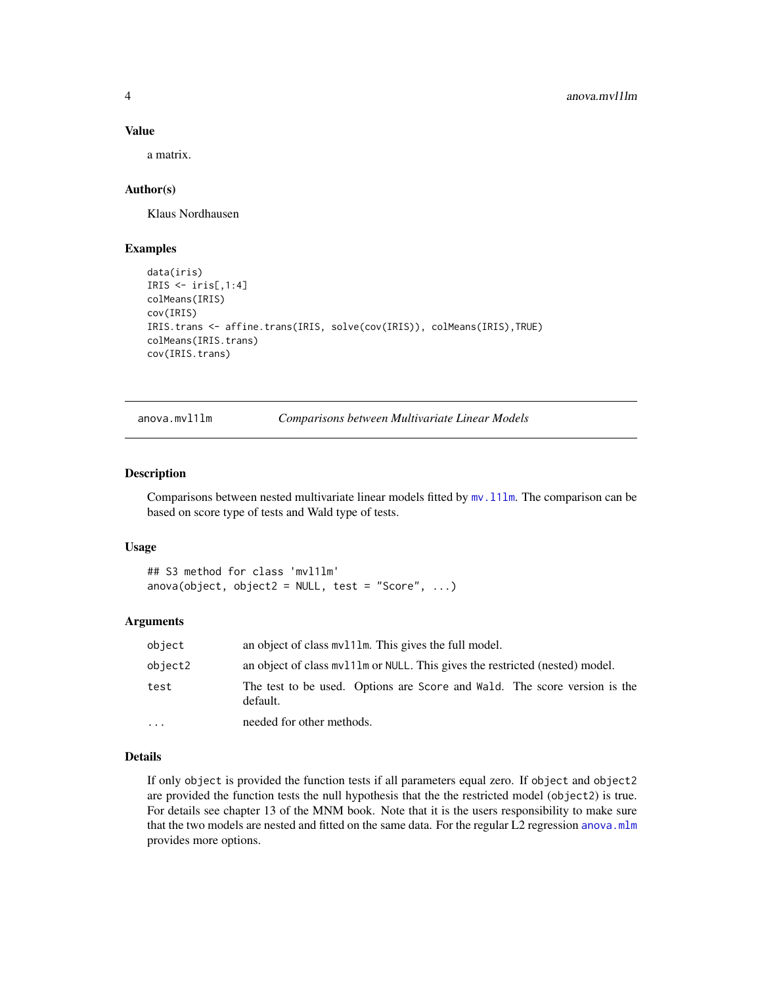#### Value

a matrix.

#### Author(s)

Klaus Nordhausen

#### Examples

```
data(iris)
IRIS \le iris[,1:4]
colMeans(IRIS)
cov(IRIS)
IRIS.trans <- affine.trans(IRIS, solve(cov(IRIS)), colMeans(IRIS),TRUE)
colMeans(IRIS.trans)
cov(IRIS.trans)
```
anova.mvl1lm *Comparisons between Multivariate Linear Models*

#### Description

Comparisons between nested multivariate linear models fitted by  $mv.111m$ . The comparison can be based on score type of tests and Wald type of tests.

#### Usage

```
## S3 method for class 'mvl1lm'
anova(object, object2 = NULL, test = "Score", \ldots)
```
#### Arguments

| object    | an object of class my 111m. This gives the full model.                                |
|-----------|---------------------------------------------------------------------------------------|
| object2   | an object of class my 111m or NULL. This gives the restricted (nested) model.         |
| test      | The test to be used. Options are Score and Wald. The score version is the<br>default. |
| $\ddotsc$ | needed for other methods.                                                             |

# Details

If only object is provided the function tests if all parameters equal zero. If object and object2 are provided the function tests the null hypothesis that the the restricted model (object2) is true. For details see chapter 13 of the MNM book. Note that it is the users responsibility to make sure that the two models are nested and fitted on the same data. For the regular L2 regression [anova.mlm](#page-0-0) provides more options.

<span id="page-3-0"></span>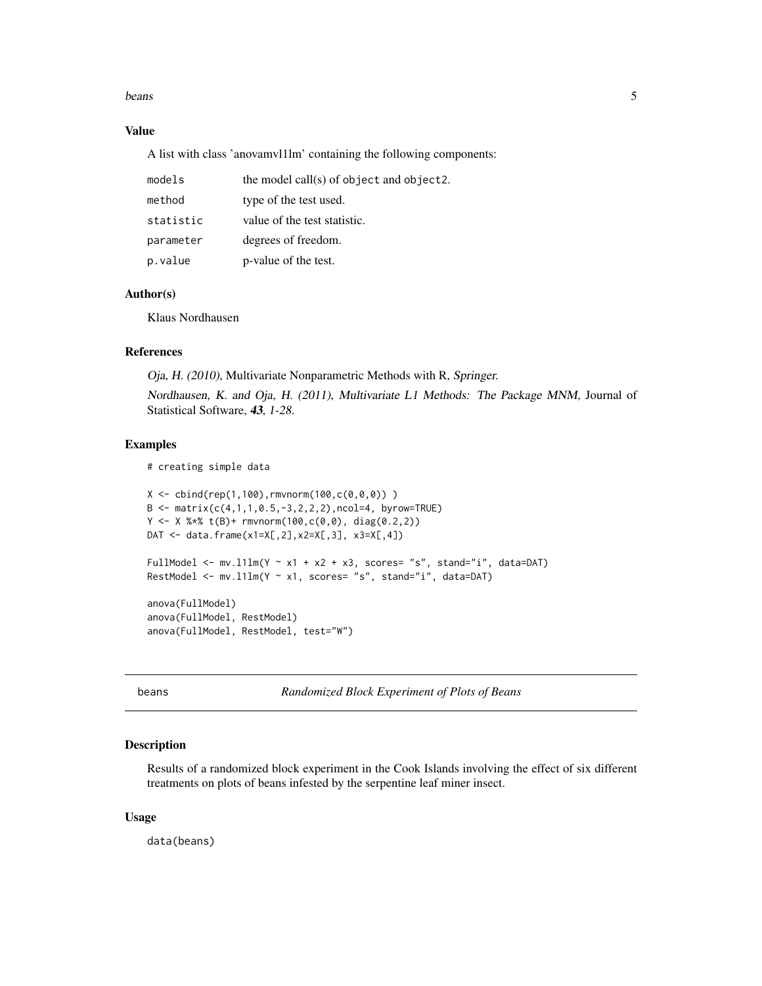#### <span id="page-4-0"></span>beans 5

# Value

A list with class 'anovamvl1lm' containing the following components:

| models    | the model call(s) of object and object2. |
|-----------|------------------------------------------|
| method    | type of the test used.                   |
| statistic | value of the test statistic.             |
| parameter | degrees of freedom.                      |
| p.value   | p-value of the test.                     |

# Author(s)

Klaus Nordhausen

#### References

Oja, H. (2010), Multivariate Nonparametric Methods with R, Springer.

Nordhausen, K. and Oja, H. (2011), Multivariate L1 Methods: The Package MNM, Journal of Statistical Software, 43, 1-28.

#### Examples

```
# creating simple data
```

```
X \le - \text{cbind}(\text{rep}(1,100), \text{rmor}(\text{100}, \text{c}(0,0,0)))B \le - matrix(c(4,1,1,0.5,-3,2,2,2),ncol=4, byrow=TRUE)
Y \le - X %*% t(B) + rmvnorm(100, c(0, 0), diag(0.2, 2))DAT \leq data.frame(x1=X[,2],x2=X[,3], x3=X[,4])
FullModel <- mv.l1lm(Y \sim x1 + x2 + x3, scores= "s", stand="i", data=DAT)
RestModel <- mv.111m(Y ~ x1, scores= "s", stand="i", data=DAT)
anova(FullModel)
anova(FullModel, RestModel)
anova(FullModel, RestModel, test="W")
```
beans *Randomized Block Experiment of Plots of Beans*

#### Description

Results of a randomized block experiment in the Cook Islands involving the effect of six different treatments on plots of beans infested by the serpentine leaf miner insect.

#### Usage

data(beans)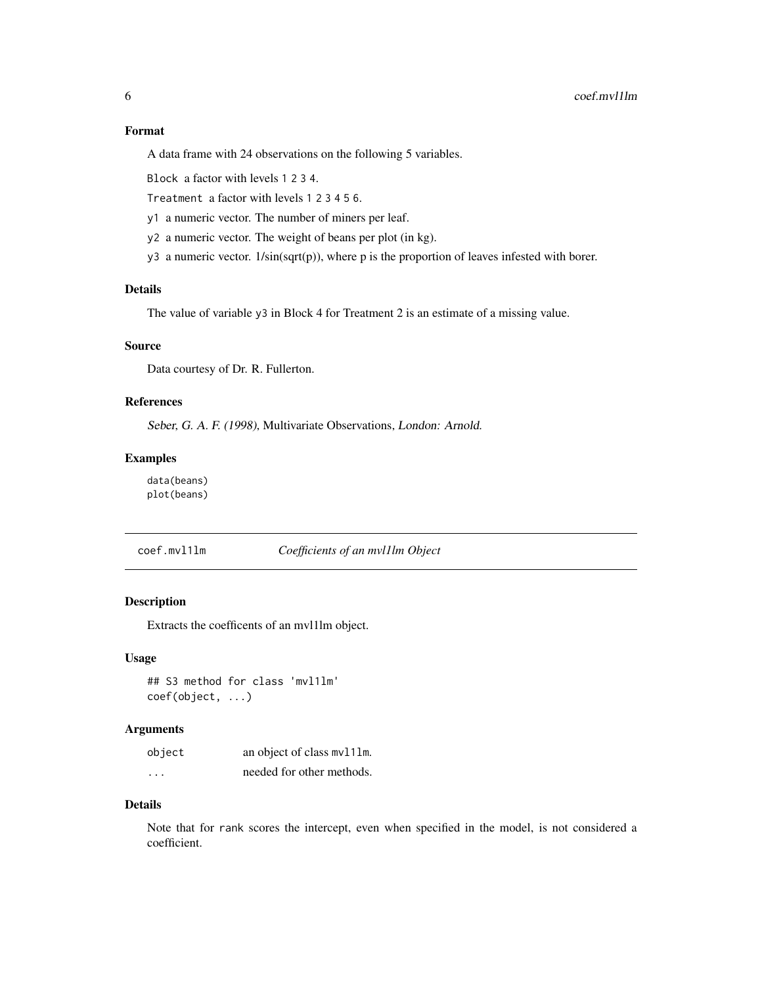<span id="page-5-0"></span>A data frame with 24 observations on the following 5 variables.

Block a factor with levels 1 2 3 4.

Treatment a factor with levels 1 2 3 4 5 6.

y1 a numeric vector. The number of miners per leaf.

- y2 a numeric vector. The weight of beans per plot (in kg).
- y3 a numeric vector. 1/sin(sqrt(p)), where p is the proportion of leaves infested with borer.

#### Details

The value of variable y3 in Block 4 for Treatment 2 is an estimate of a missing value.

#### Source

Data courtesy of Dr. R. Fullerton.

# References

Seber, G. A. F. (1998), Multivariate Observations, London: Arnold.

#### Examples

data(beans) plot(beans)

coef.mvl1lm *Coefficients of an mvl1lm Object*

# Description

Extracts the coefficents of an mvl1lm object.

#### Usage

```
## S3 method for class 'mvl1lm'
coef(object, ...)
```
#### Arguments

| object  | an object of class mv111m. |
|---------|----------------------------|
| $\cdot$ | needed for other methods.  |

#### Details

Note that for rank scores the intercept, even when specified in the model, is not considered a coefficient.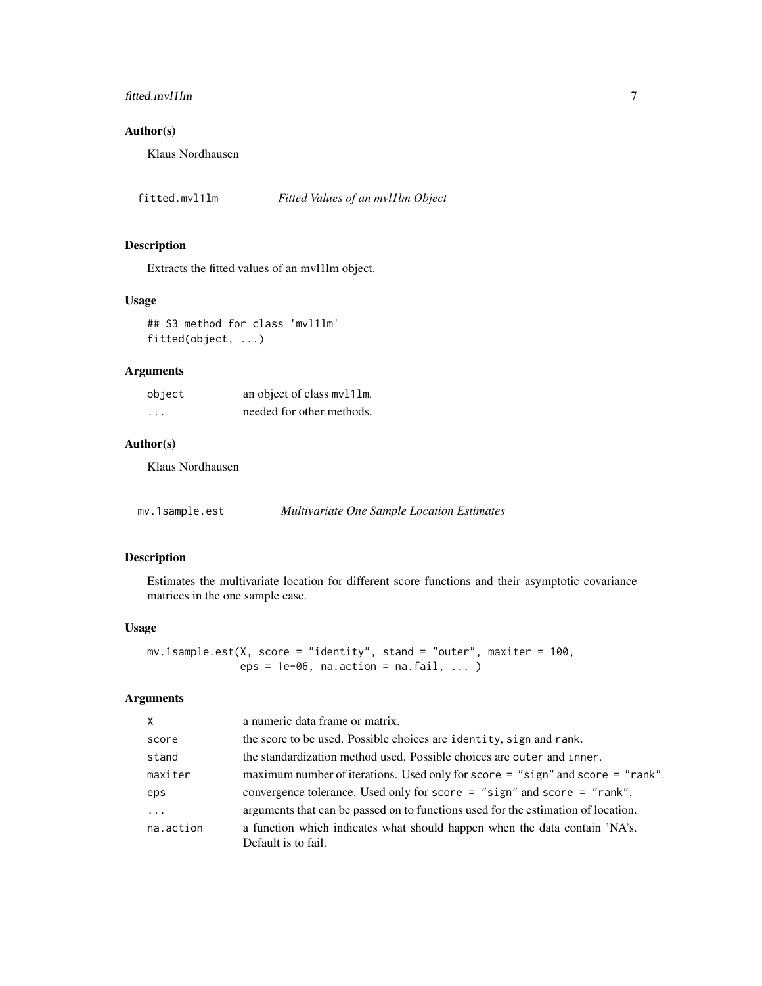# <span id="page-6-0"></span>fitted.mvl1lm 7

# Author(s)

Klaus Nordhausen

fitted.mvl1lm *Fitted Values of an mvl1lm Object*

# Description

Extracts the fitted values of an mvl1lm object.

#### Usage

## S3 method for class 'mvl1lm' fitted(object, ...)

# Arguments

| object   | an object of class mv111m. |
|----------|----------------------------|
| $\cdots$ | needed for other methods.  |

#### Author(s)

Klaus Nordhausen

<span id="page-6-1"></span>mv.1sample.est *Multivariate One Sample Location Estimates*

#### Description

Estimates the multivariate location for different score functions and their asymptotic covariance matrices in the one sample case.

#### Usage

```
mv.1sample.est(X, score = "identity", stand = "outer", maxiter = 100,
               eps = 1e-06, na.action = na.fail, ... )
```
# Arguments

| $\times$  | a numeric data frame or matrix.                                                                   |
|-----------|---------------------------------------------------------------------------------------------------|
| score     | the score to be used. Possible choices are identity, sign and rank.                               |
| stand     | the standardization method used. Possible choices are outer and inner.                            |
| maxiter   | maximum number of iterations. Used only for score = "sign" and score = "rank".                    |
| eps       | convergence tolerance. Used only for score = "sign" and score = "rank".                           |
| .         | arguments that can be passed on to functions used for the estimation of location.                 |
| na.action | a function which indicates what should happen when the data contain 'NA's.<br>Default is to fail. |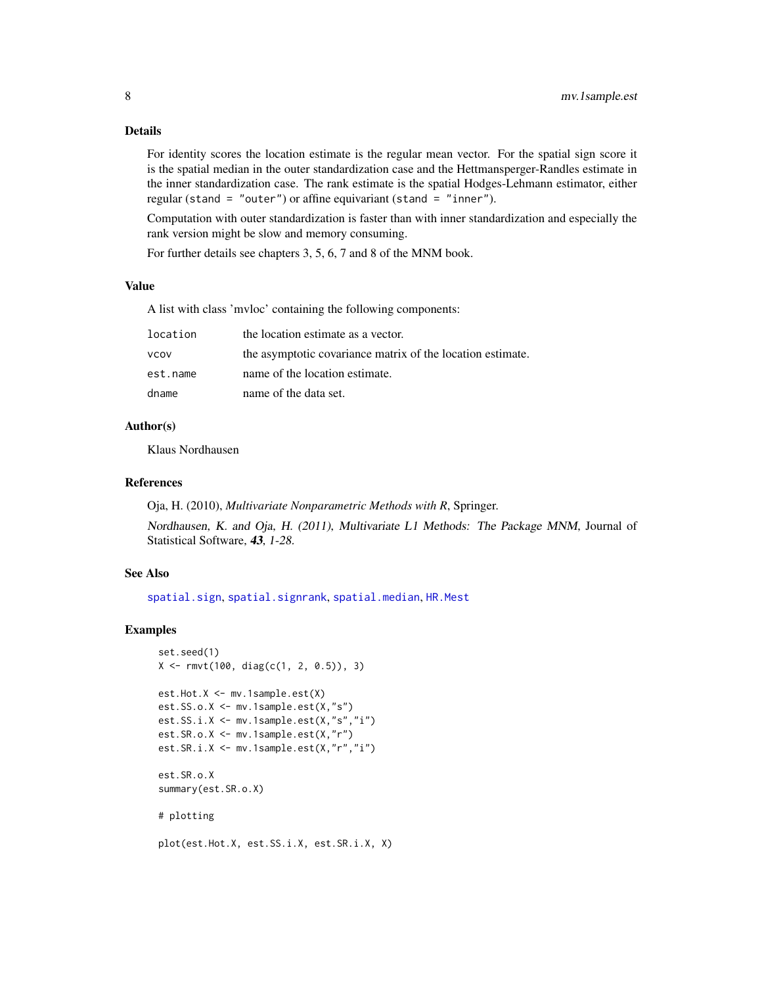#### <span id="page-7-0"></span>Details

For identity scores the location estimate is the regular mean vector. For the spatial sign score it is the spatial median in the outer standardization case and the Hettmansperger-Randles estimate in the inner standardization case. The rank estimate is the spatial Hodges-Lehmann estimator, either regular (stand = "outer") or affine equivariant (stand = "inner").

Computation with outer standardization is faster than with inner standardization and especially the rank version might be slow and memory consuming.

For further details see chapters 3, 5, 6, 7 and 8 of the MNM book.

#### Value

A list with class 'mvloc' containing the following components:

| location | the location estimate as a vector.                         |
|----------|------------------------------------------------------------|
| VCOV     | the asymptotic covariance matrix of the location estimate. |
| est.name | name of the location estimate.                             |
| dname    | name of the data set.                                      |

#### Author(s)

Klaus Nordhausen

#### References

Oja, H. (2010), *Multivariate Nonparametric Methods with R*, Springer.

Nordhausen, K. and Oja, H. (2011), Multivariate L1 Methods: The Package MNM, Journal of Statistical Software, 43, 1-28.

# See Also

[spatial.sign](#page-0-0), [spatial.signrank](#page-0-0), [spatial.median](#page-0-0), [HR.Mest](#page-0-0)

# Examples

```
set.seed(1)
X \leq r mvt(100, diag(c(1, 2, 0.5)), 3)
est.Hot.X <- mv.1sample.est(X)
est.SS.o.X <- mv.1sample.est(X,"s")
est.SS.i.X <- mv.1sample.est(X,"s","i")
est.SR.o.X <- mv.1sample.est(X,"r")
est.SR.i.X <- mv.1sample.est(X,"r","i")
est.SR.o.X
summary(est.SR.o.X)
# plotting
```
plot(est.Hot.X, est.SS.i.X, est.SR.i.X, X)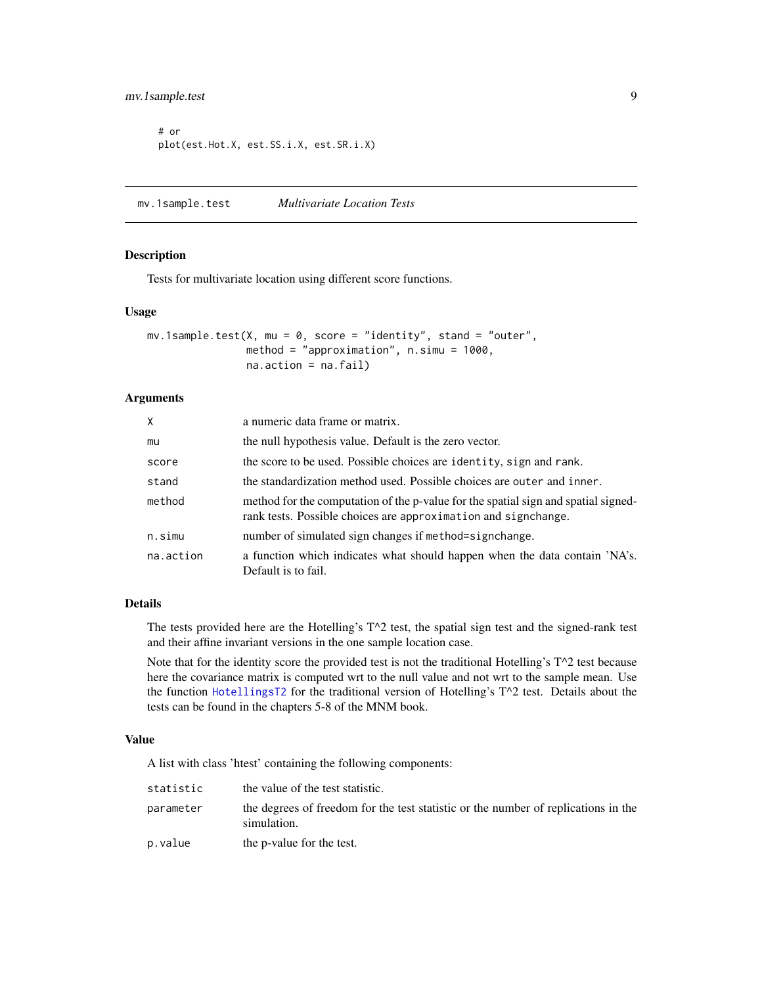```
# or
plot(est.Hot.X, est.SS.i.X, est.SR.i.X)
```
<span id="page-8-1"></span>mv.1sample.test *Multivariate Location Tests*

#### Description

Tests for multivariate location using different score functions.

#### Usage

```
mv.1sample.test(X, mu = 0, score = "identity", stand = "outer",
                method = "approximation", n.simu = 1000,
                na.action = na.fail)
```
# Arguments

| X         | a numeric data frame or matrix.                                                                                                                      |
|-----------|------------------------------------------------------------------------------------------------------------------------------------------------------|
| mu        | the null hypothesis value. Default is the zero vector.                                                                                               |
| score     | the score to be used. Possible choices are identity, sign and rank.                                                                                  |
| stand     | the standardization method used. Possible choices are outer and inner.                                                                               |
| method    | method for the computation of the p-value for the spatial sign and spatial signed-<br>rank tests. Possible choices are approximation and signchange. |
| n.simu    | number of simulated sign changes if method=signchange.                                                                                               |
| na.action | a function which indicates what should happen when the data contain 'NA's.<br>Default is to fail.                                                    |

# Details

The tests provided here are the Hotelling's T^2 test, the spatial sign test and the signed-rank test and their affine invariant versions in the one sample location case.

Note that for the identity score the provided test is not the traditional Hotelling's T^2 test because here the covariance matrix is computed wrt to the null value and not wrt to the sample mean. Use the function [HotellingsT2](#page-0-0) for the traditional version of Hotelling's T^2 test. Details about the tests can be found in the chapters 5-8 of the MNM book.

#### Value

A list with class 'htest' containing the following components:

| statistic | the value of the test statistic.                                                                  |
|-----------|---------------------------------------------------------------------------------------------------|
| parameter | the degrees of freedom for the test statistic or the number of replications in the<br>simulation. |
| p.value   | the p-value for the test.                                                                         |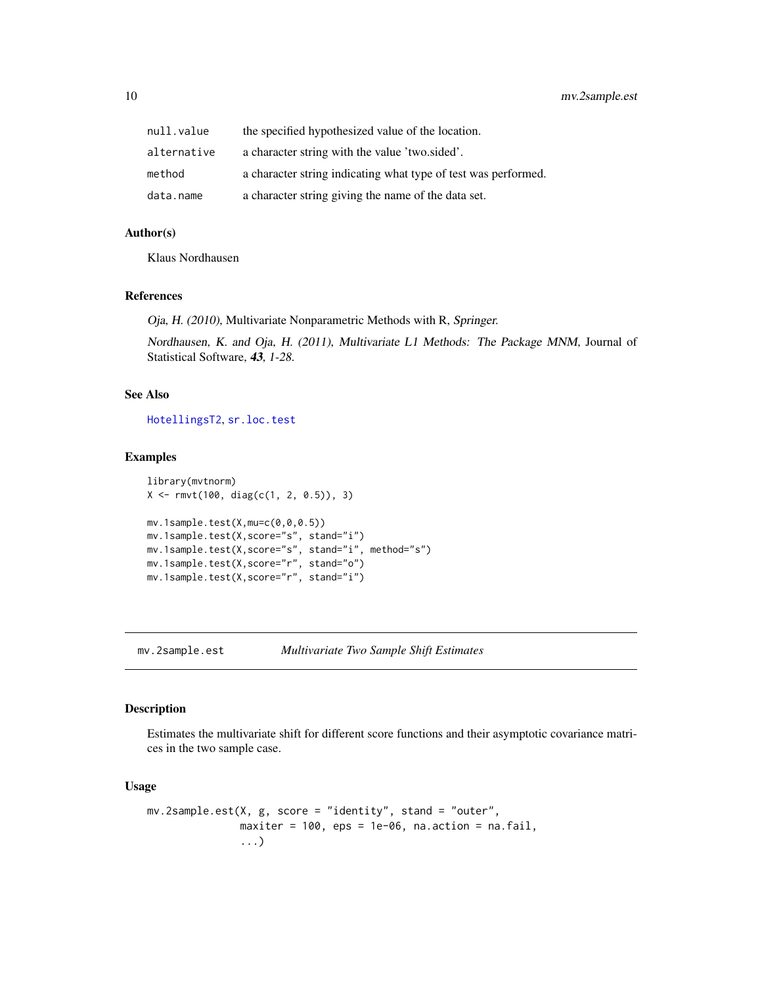<span id="page-9-0"></span>

| null.value  | the specified hypothesized value of the location.              |
|-------------|----------------------------------------------------------------|
| alternative | a character string with the value 'two sided'.                 |
| method      | a character string indicating what type of test was performed. |
| data.name   | a character string giving the name of the data set.            |

#### Author(s)

Klaus Nordhausen

#### References

Oja, H. (2010), Multivariate Nonparametric Methods with R, Springer.

Nordhausen, K. and Oja, H. (2011), Multivariate L1 Methods: The Package MNM, Journal of Statistical Software, 43, 1-28.

#### See Also

[HotellingsT2](#page-0-0), [sr.loc.test](#page-0-0)

#### Examples

```
library(mvtnorm)
X <- rmvt(100, diag(c(1, 2, 0.5)), 3)
mv.1sample.test(X,mu=c(0,0,0.5))
mv.1sample.test(X,score="s", stand="i")
mv.1sample.test(X,score="s", stand="i", method="s")
mv.1sample.test(X,score="r", stand="o")
mv.1sample.test(X,score="r", stand="i")
```
<span id="page-9-1"></span>mv.2sample.est *Multivariate Two Sample Shift Estimates*

#### Description

Estimates the multivariate shift for different score functions and their asymptotic covariance matrices in the two sample case.

#### Usage

```
mv.2sample.est(X, g, score = "identity", stand = "outer",
               maxiter = 100, eps = 1e-06, na.action = na.fail,
               ...)
```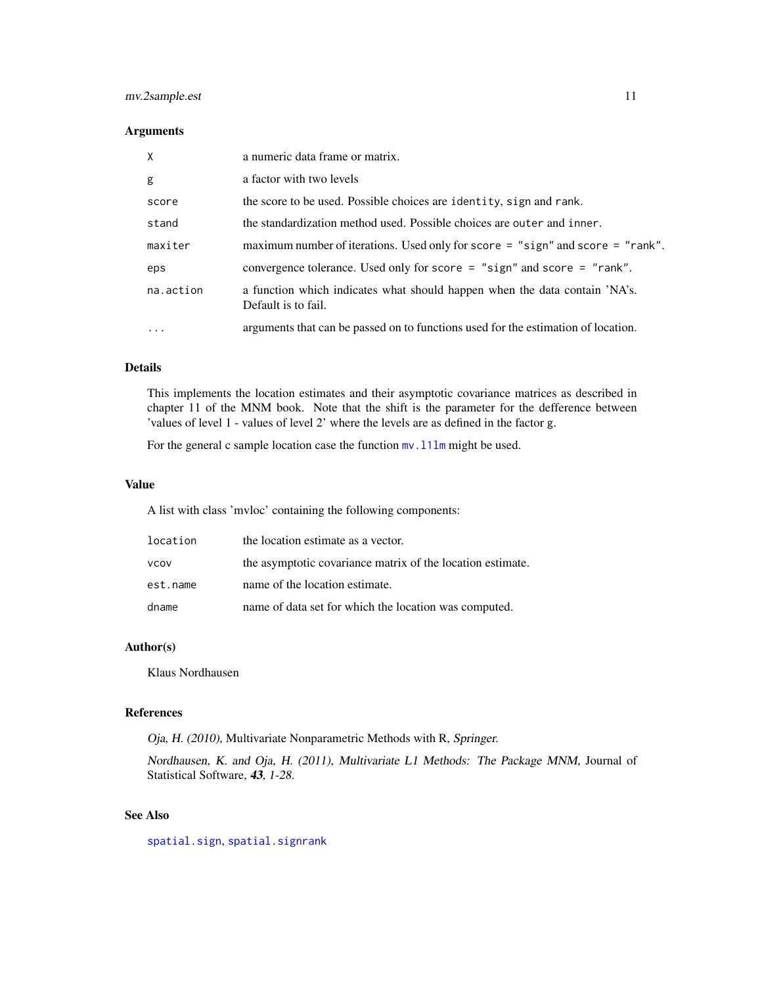# <span id="page-10-0"></span>mv.2sample.est 11

#### Arguments

| $\times$  | a numeric data frame or matrix.                                                                   |
|-----------|---------------------------------------------------------------------------------------------------|
| g         | a factor with two levels                                                                          |
| score     | the score to be used. Possible choices are identity, sign and rank.                               |
| stand     | the standardization method used. Possible choices are outer and inner.                            |
| maxiter   | maximum number of iterations. Used only for score = "sign" and score = "rank".                    |
| eps       | convergence tolerance. Used only for score $=$ "sign" and score $=$ "rank".                       |
| na.action | a function which indicates what should happen when the data contain 'NA's.<br>Default is to fail. |
| $\cdots$  | arguments that can be passed on to functions used for the estimation of location.                 |

#### Details

This implements the location estimates and their asymptotic covariance matrices as described in chapter 11 of the MNM book. Note that the shift is the parameter for the defference between 'values of level 1 - values of level 2' where the levels are as defined in the factor g.

For the general c sample location case the function  $mv$ . 111m might be used.

#### Value

A list with class 'mvloc' containing the following components:

| location    | the location estimate as a vector.                         |
|-------------|------------------------------------------------------------|
| <b>VCOV</b> | the asymptotic covariance matrix of the location estimate. |
| est.name    | name of the location estimate.                             |
| dname       | name of data set for which the location was computed.      |

#### Author(s)

Klaus Nordhausen

#### References

Oja, H. (2010), Multivariate Nonparametric Methods with R, Springer.

Nordhausen, K. and Oja, H. (2011), Multivariate L1 Methods: The Package MNM, Journal of Statistical Software, 43, 1-28.

# See Also

[spatial.sign](#page-0-0), [spatial.signrank](#page-0-0)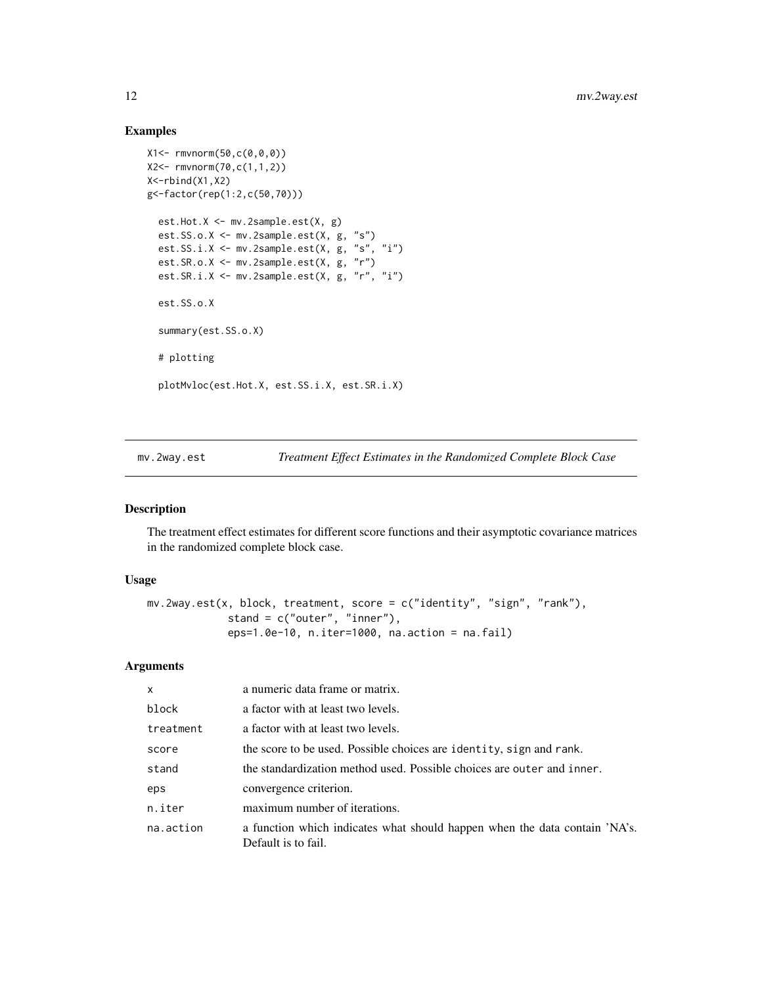#### Examples

```
X1<- rmvnorm(50,c(0,0,0))
X2<- rmvnorm(70,c(1,1,2))
X<-rbind(X1,X2)
g<-factor(rep(1:2,c(50,70)))
  est.Hot.X <- mv.2sample.est(X, g)
  est.SS.o.X <- mv.2sample.est(X, g, "s")
  est.SS.i.X <- mv.2sample.est(X, g, "s", "i")
  est.SR.o.X <- mv.2sample.est(X, g, "r")
  est.SR.i.X <- mv.2sample.est(X, g, "r", "i")
  est.SS.o.X
  summary(est.SS.o.X)
  # plotting
  plotMvloc(est.Hot.X, est.SS.i.X, est.SR.i.X)
```
<span id="page-11-1"></span>mv.2way.est *Treatment Effect Estimates in the Randomized Complete Block Case*

# Description

The treatment effect estimates for different score functions and their asymptotic covariance matrices in the randomized complete block case.

#### Usage

```
mv.2way.est(x, block, treatment, score = c("identity", "sign", "rank"),
             stand = c("outer", "inner"),
            eps=1.0e-10, n.iter=1000, na.action = na.fail)
```
#### Arguments

| $\mathsf{x}$ | a numeric data frame or matrix.                                                                   |
|--------------|---------------------------------------------------------------------------------------------------|
| block        | a factor with at least two levels.                                                                |
| treatment    | a factor with at least two levels.                                                                |
| score        | the score to be used. Possible choices are identity, sign and rank.                               |
| stand        | the standardization method used. Possible choices are outer and inner.                            |
| eps          | convergence criterion.                                                                            |
| n.iter       | maximum number of iterations.                                                                     |
| na.action    | a function which indicates what should happen when the data contain 'NA's.<br>Default is to fail. |

<span id="page-11-0"></span>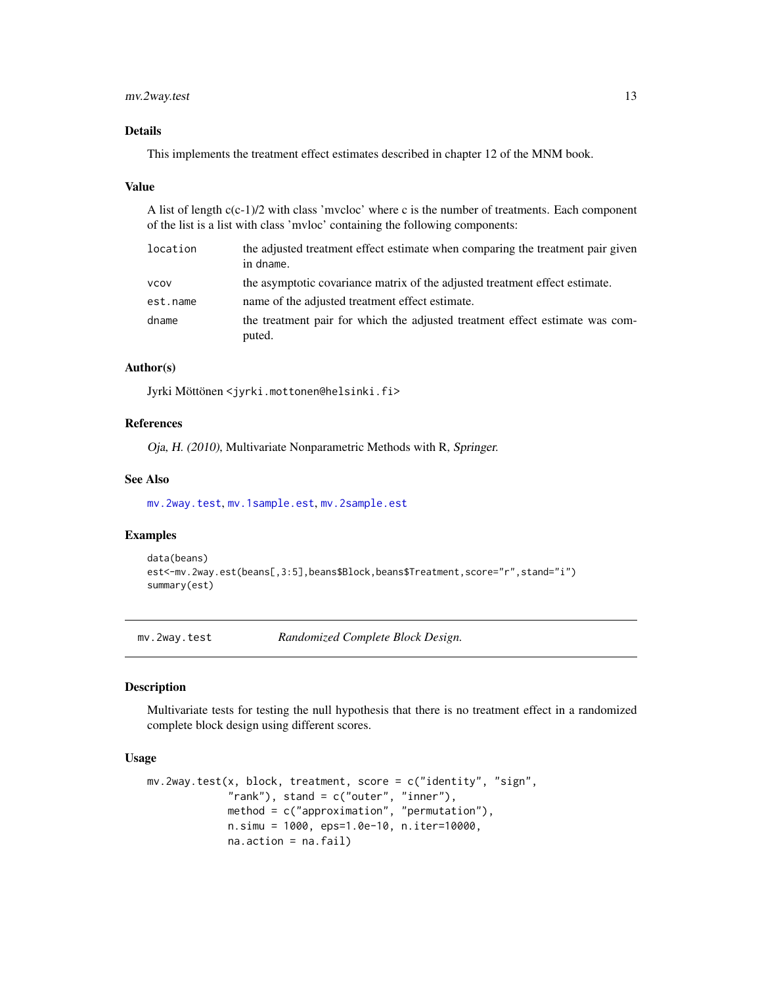# <span id="page-12-0"></span>mv.2way.test 13

#### Details

This implements the treatment effect estimates described in chapter 12 of the MNM book.

#### Value

A list of length c(c-1)/2 with class 'mvcloc' where c is the number of treatments. Each component of the list is a list with class 'mvloc' containing the following components:

| location    | the adjusted treatment effect estimate when comparing the treatment pair given<br>in dname. |
|-------------|---------------------------------------------------------------------------------------------|
| <b>VCOV</b> | the asymptotic covariance matrix of the adjusted treatment effect estimate.                 |
| est.name    | name of the adjusted treatment effect estimate.                                             |
| dname       | the treatment pair for which the adjusted treatment effect estimate was com-<br>puted.      |

#### Author(s)

Jyrki Möttönen <jyrki.mottonen@helsinki.fi>

#### References

Oja, H. (2010), Multivariate Nonparametric Methods with R, Springer.

#### See Also

[mv.2way.test](#page-12-1), [mv.1sample.est](#page-6-1), [mv.2sample.est](#page-9-1)

#### Examples

```
data(beans)
est<-mv.2way.est(beans[,3:5],beans$Block,beans$Treatment,score="r",stand="i")
summary(est)
```
<span id="page-12-1"></span>mv.2way.test *Randomized Complete Block Design.*

#### Description

Multivariate tests for testing the null hypothesis that there is no treatment effect in a randomized complete block design using different scores.

#### Usage

```
mv.2way.test(x, block, treatment, score = c("identity", "sign",
             "rank"), stand = c("outer", "inner"),
            method = c("approximation", "permutation"),
            n.simu = 1000, eps=1.0e-10, n.iter=10000,
             na.action = na.fail)
```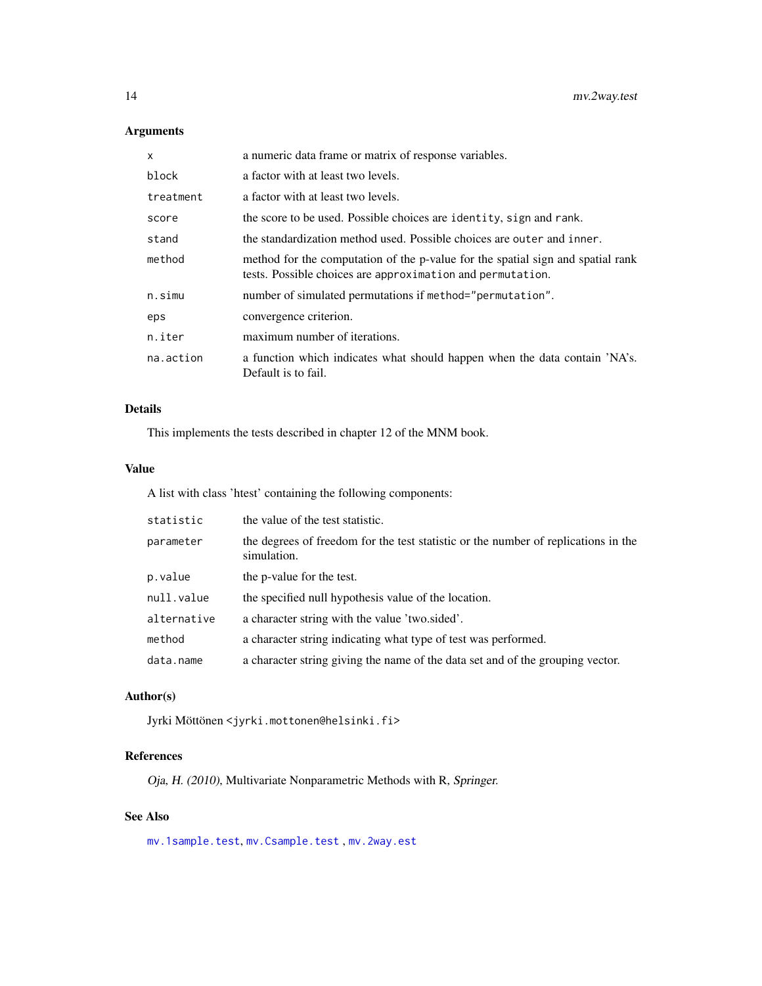# Arguments

| X         | a numeric data frame or matrix of response variables.                                                                                         |
|-----------|-----------------------------------------------------------------------------------------------------------------------------------------------|
| block     | a factor with at least two levels.                                                                                                            |
| treatment | a factor with at least two levels.                                                                                                            |
| score     | the score to be used. Possible choices are identity, sign and rank.                                                                           |
| stand     | the standardization method used. Possible choices are outer and inner.                                                                        |
| method    | method for the computation of the p-value for the spatial sign and spatial rank<br>tests. Possible choices are approximation and permutation. |
| n.simu    | number of simulated permutations if method="permutation".                                                                                     |
| eps       | convergence criterion.                                                                                                                        |
| n.iter    | maximum number of iterations.                                                                                                                 |
| na.action | a function which indicates what should happen when the data contain 'NA's.<br>Default is to fail.                                             |

#### Details

This implements the tests described in chapter 12 of the MNM book.

#### Value

A list with class 'htest' containing the following components:

| statistic   | the value of the test statistic.                                                                  |
|-------------|---------------------------------------------------------------------------------------------------|
| parameter   | the degrees of freedom for the test statistic or the number of replications in the<br>simulation. |
| p.value     | the p-value for the test.                                                                         |
| null.value  | the specified null hypothesis value of the location.                                              |
| alternative | a character string with the value 'two.sided'.                                                    |
| method      | a character string indicating what type of test was performed.                                    |
| data.name   | a character string giving the name of the data set and of the grouping vector.                    |

#### Author(s)

Jyrki Möttönen <jyrki.mottonen@helsinki.fi>

#### References

Oja, H. (2010), Multivariate Nonparametric Methods with R, Springer.

# See Also

[mv.1sample.test](#page-8-1), [mv.Csample.test](#page-14-1) , [mv.2way.est](#page-11-1)

<span id="page-13-0"></span>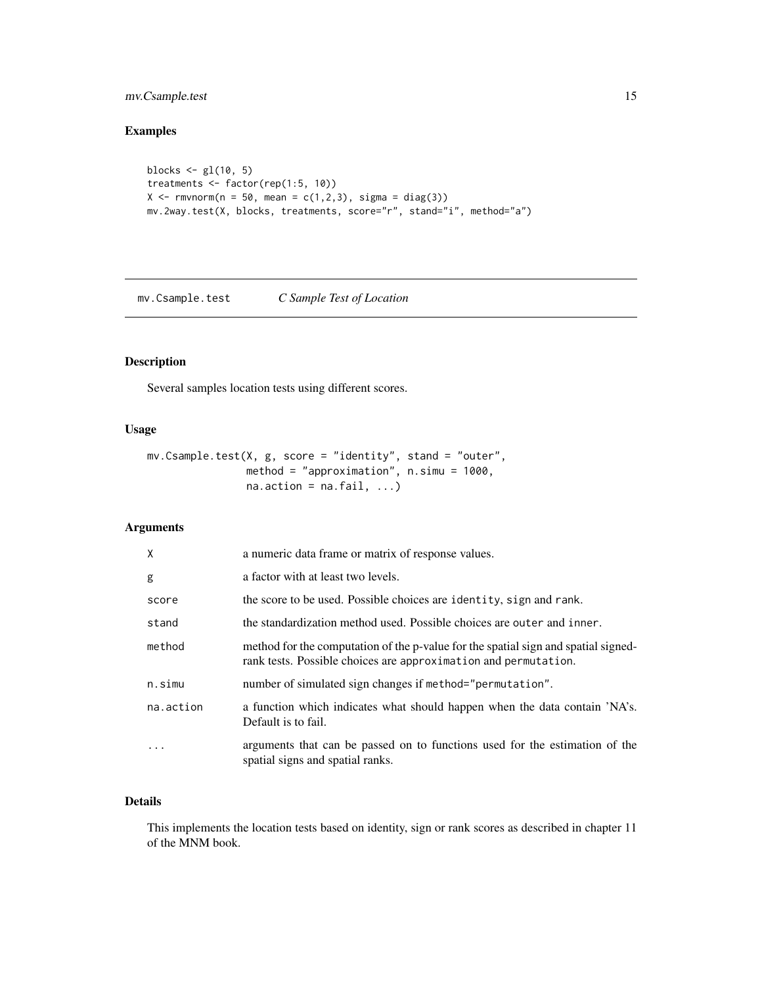# <span id="page-14-0"></span>mv.Csample.test 15

# Examples

```
blocks \leq gl(10, 5)
treatments <- factor(rep(1:5, 10))
X \leq -rmvnorm(n = 50, mean = c(1,2,3), sigma = diag(3))
mv.2way.test(X, blocks, treatments, score="r", stand="i", method="a")
```
<span id="page-14-1"></span>mv.Csample.test *C Sample Test of Location*

# Description

Several samples location tests using different scores.

#### Usage

```
mv.Csample.test(X, g, score = "identity", stand = "outer",
                method = "approximation", n.simu = 1000,
                na. action = na. fail, ...)
```
# Arguments

| $\mathsf{X}$ | a numeric data frame or matrix of response values.                                                                                                    |
|--------------|-------------------------------------------------------------------------------------------------------------------------------------------------------|
| g            | a factor with at least two levels.                                                                                                                    |
| score        | the score to be used. Possible choices are identity, sign and rank.                                                                                   |
| stand        | the standardization method used. Possible choices are outer and inner.                                                                                |
| method       | method for the computation of the p-value for the spatial sign and spatial signed-<br>rank tests. Possible choices are approximation and permutation. |
| n.simu       | number of simulated sign changes if method="permutation".                                                                                             |
| na.action    | a function which indicates what should happen when the data contain 'NA's.<br>Default is to fail.                                                     |
| .            | arguments that can be passed on to functions used for the estimation of the<br>spatial signs and spatial ranks.                                       |

# Details

This implements the location tests based on identity, sign or rank scores as described in chapter 11 of the MNM book.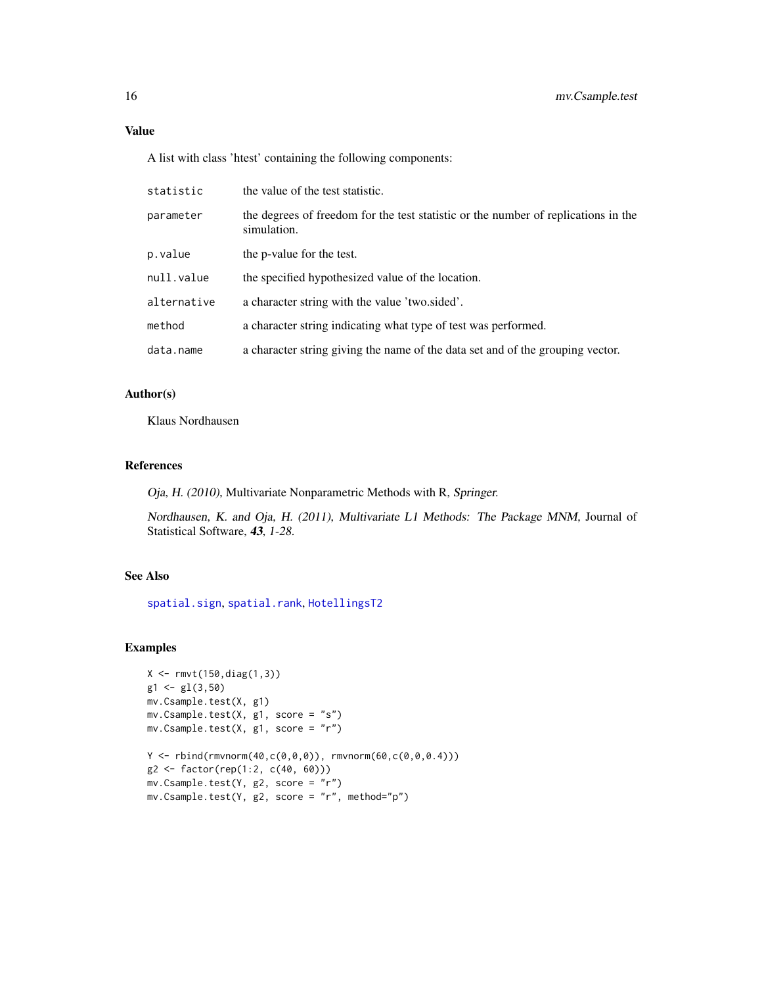# <span id="page-15-0"></span>Value

A list with class 'htest' containing the following components:

| statistic   | the value of the test statistic.                                                                  |
|-------------|---------------------------------------------------------------------------------------------------|
| parameter   | the degrees of freedom for the test statistic or the number of replications in the<br>simulation. |
| p.value     | the p-value for the test.                                                                         |
| null.value  | the specified hypothesized value of the location.                                                 |
| alternative | a character string with the value 'two.sided'.                                                    |
| method      | a character string indicating what type of test was performed.                                    |
| data.name   | a character string giving the name of the data set and of the grouping vector.                    |

#### Author(s)

Klaus Nordhausen

#### References

Oja, H. (2010), Multivariate Nonparametric Methods with R, Springer.

Nordhausen, K. and Oja, H. (2011), Multivariate L1 Methods: The Package MNM, Journal of Statistical Software, 43, 1-28.

# See Also

[spatial.sign](#page-0-0), [spatial.rank](#page-0-0), [HotellingsT2](#page-0-0)

#### Examples

```
X <- rmvt(150,diag(1,3))
g1 \leftarrow g1(3,50)mv.Csample.test(X, g1)
mv.Csample.test(X, g1, score = "s")
mv.Csample.test(X, g1, score = "r")
Y \le - rbind(rmvnorm(40,c(0,0,0)), rmvnorm(60,c(0,0,0.4)))
g2 <- factor(rep(1:2, c(40, 60)))
mv.Csample.test(Y, g2, score = "r")
mv.Csample.test(Y, g2, score = "r", method="p")
```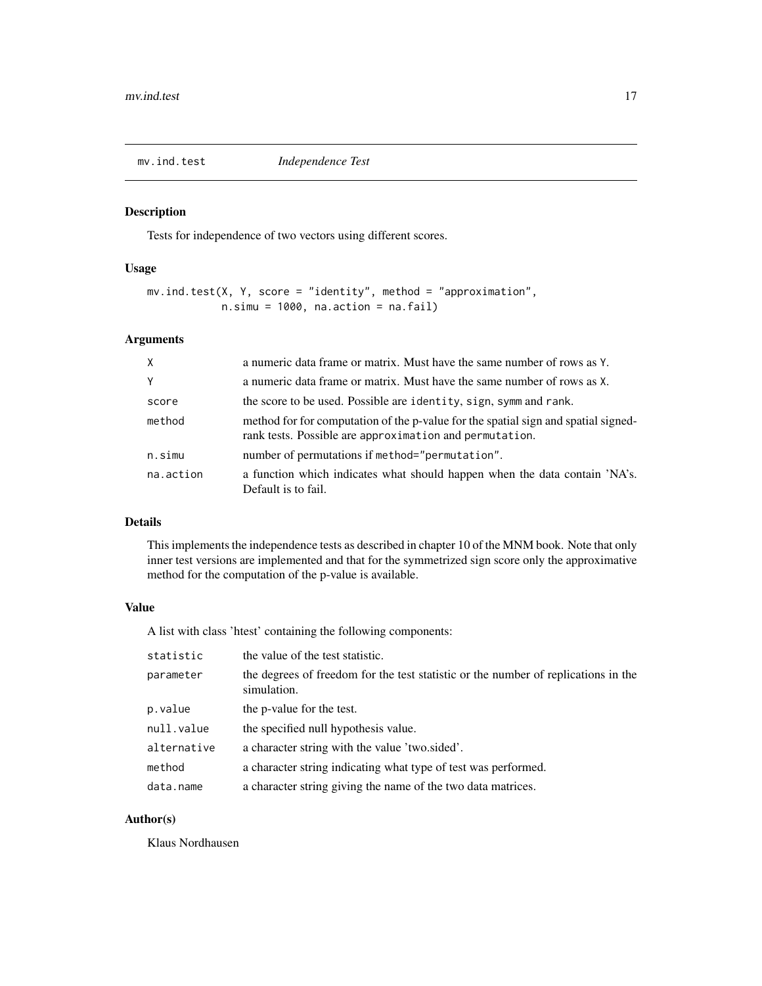<span id="page-16-0"></span>

Tests for independence of two vectors using different scores.

#### Usage

```
mv.ind.test(X, Y, score = "identity", method = "approximation",
            n.simu = 1000, na. action = na.fail)
```
# Arguments

| $\times$  | a numeric data frame or matrix. Must have the same number of rows as Y.                                                                       |
|-----------|-----------------------------------------------------------------------------------------------------------------------------------------------|
| Y         | a numeric data frame or matrix. Must have the same number of rows as X.                                                                       |
| score     | the score to be used. Possible are identity, sign, symm and rank.                                                                             |
| method    | method for for computation of the p-value for the spatial sign and spatial signed-<br>rank tests. Possible are approximation and permutation. |
| n.simu    | number of permutations if method="permutation".                                                                                               |
| na.action | a function which indicates what should happen when the data contain 'NA's.<br>Default is to fail.                                             |

# Details

This implements the independence tests as described in chapter 10 of the MNM book. Note that only inner test versions are implemented and that for the symmetrized sign score only the approximative method for the computation of the p-value is available.

#### Value

A list with class 'htest' containing the following components:

| statistic   | the value of the test statistic.                                                                  |
|-------------|---------------------------------------------------------------------------------------------------|
| parameter   | the degrees of freedom for the test statistic or the number of replications in the<br>simulation. |
| p.value     | the p-value for the test.                                                                         |
| null.value  | the specified null hypothesis value.                                                              |
| alternative | a character string with the value 'two.sided'.                                                    |
| method      | a character string indicating what type of test was performed.                                    |
| data.name   | a character string giving the name of the two data matrices.                                      |

# Author(s)

Klaus Nordhausen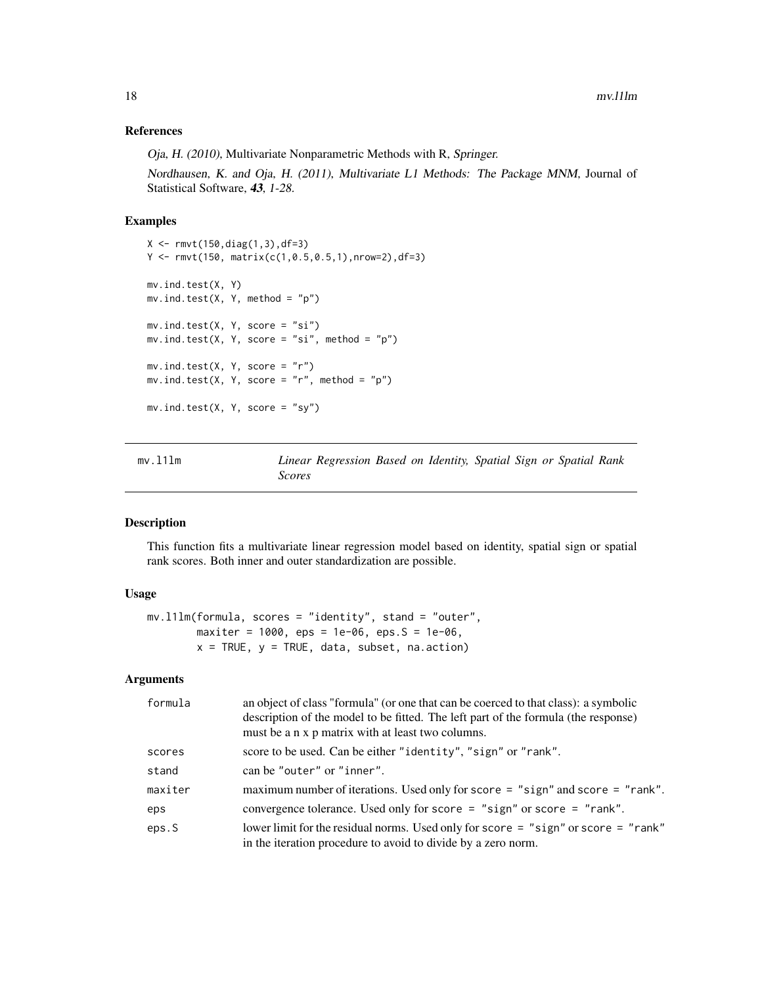#### <span id="page-17-0"></span>References

Oja, H. (2010), Multivariate Nonparametric Methods with R, Springer.

Nordhausen, K. and Oja, H. (2011), Multivariate L1 Methods: The Package MNM, Journal of Statistical Software, 43, 1-28.

#### Examples

```
X <- rmvt(150,diag(1,3),df=3)
Y \leftarrow \text{rmvt}(150, \text{ matrix}(c(1, 0.5, 0.5, 1), \text{nrow=2}), df=3)mv.ind.test(X, Y)
mv.ind.test(X, Y, method = "p")
mv.ind.test(X, Y, score = "si")
mv.ind.test(X, Y, score = "si", method = "p")
mv.ind.test(X, Y, score = "r")
mv.ind.test(X, Y, score = "r", method = "p")
mv.ind.test(X, Y, score = "sy")
```
<span id="page-17-1"></span>

| mv.111m |        | Linear Regression Based on Identity, Spatial Sign or Spatial Rank |  |  |  |  |
|---------|--------|-------------------------------------------------------------------|--|--|--|--|
|         | Scores |                                                                   |  |  |  |  |

#### Description

This function fits a multivariate linear regression model based on identity, spatial sign or spatial rank scores. Both inner and outer standardization are possible.

#### Usage

```
mv.l1lm(formula, scores = "identity", stand = "outer",
        maxiter = 1000, eps = 1e-06, eps. S = 1e-06,
        x = TRUE, y = TRUE, data, subset, na.action)
```
#### Arguments

| formula | an object of class "formula" (or one that can be coerced to that class): a symbolic<br>description of the model to be fitted. The left part of the formula (the response)<br>must be a n x p matrix with at least two columns. |
|---------|--------------------------------------------------------------------------------------------------------------------------------------------------------------------------------------------------------------------------------|
| scores  | score to be used. Can be either "identity", "sign" or "rank".                                                                                                                                                                  |
| stand   | can be "outer" or "inner".                                                                                                                                                                                                     |
| maxiter | maximum number of iterations. Used only for score $=$ "sign" and score $=$ "rank".                                                                                                                                             |
| eps     | convergence tolerance. Used only for score = "sign" or score = "rank".                                                                                                                                                         |
| eps.S   | lower limit for the residual norms. Used only for score = "sign" or score = "rank"<br>in the iteration procedure to avoid to divide by a zero norm.                                                                            |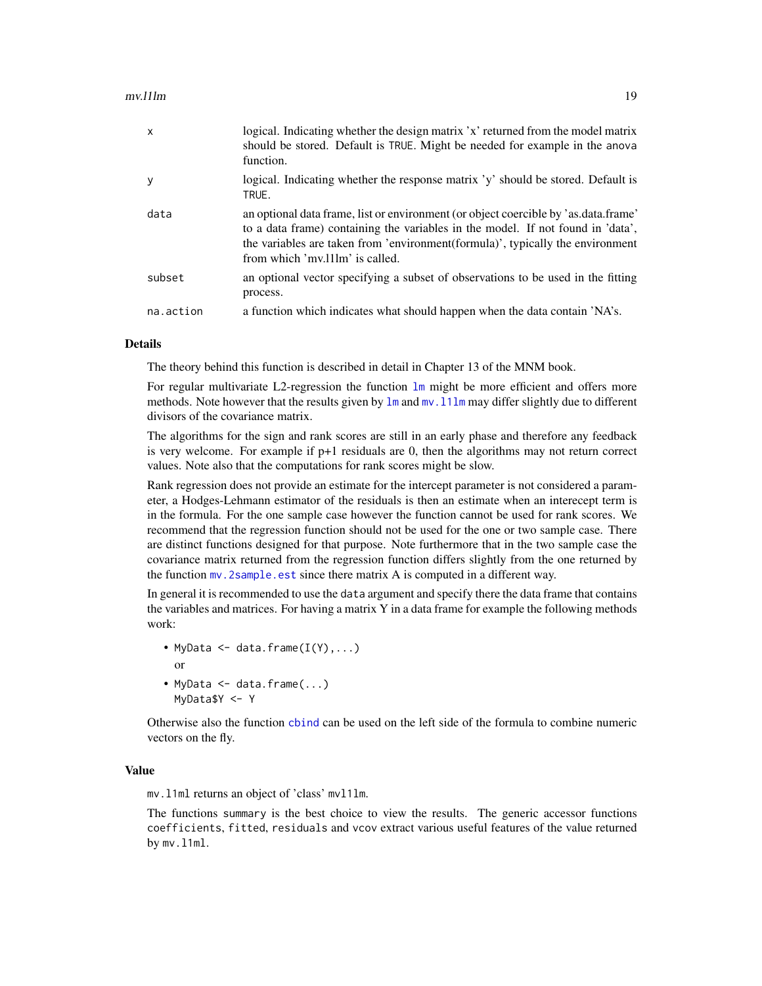#### <span id="page-18-0"></span>mv.l1lm 19

| $\mathsf{x}$ | logical. Indicating whether the design matrix 'x' returned from the model matrix<br>should be stored. Default is TRUE. Might be needed for example in the anova<br>function.                                                                                                                |
|--------------|---------------------------------------------------------------------------------------------------------------------------------------------------------------------------------------------------------------------------------------------------------------------------------------------|
| y            | logical. Indicating whether the response matrix 'y' should be stored. Default is<br>TRUE.                                                                                                                                                                                                   |
| data         | an optional data frame, list or environment (or object coercible by 'as.data.frame'<br>to a data frame) containing the variables in the model. If not found in 'data',<br>the variables are taken from 'environment(formula)', typically the environment<br>from which 'my. llm' is called. |
| subset       | an optional vector specifying a subset of observations to be used in the fitting<br>process.                                                                                                                                                                                                |
| na.action    | a function which indicates what should happen when the data contain 'NA's.                                                                                                                                                                                                                  |

#### Details

The theory behind this function is described in detail in Chapter 13 of the MNM book.

For regular multivariate L2-regression the function  $\text{lm}$  $\text{lm}$  $\text{lm}$  might be more efficient and offers more methods. Note however that the results given by  $\text{lm}$  $\text{lm}$  $\text{lm}$  and  $\text{mv}$ . 11 $\text{lm}$  may differ slightly due to different divisors of the covariance matrix.

The algorithms for the sign and rank scores are still in an early phase and therefore any feedback is very welcome. For example if  $p+1$  residuals are 0, then the algorithms may not return correct values. Note also that the computations for rank scores might be slow.

Rank regression does not provide an estimate for the intercept parameter is not considered a parameter, a Hodges-Lehmann estimator of the residuals is then an estimate when an interecept term is in the formula. For the one sample case however the function cannot be used for rank scores. We recommend that the regression function should not be used for the one or two sample case. There are distinct functions designed for that purpose. Note furthermore that in the two sample case the covariance matrix returned from the regression function differs slightly from the one returned by the function [mv.2sample.est](#page-9-1) since there matrix A is computed in a different way.

In general it is recommended to use the data argument and specify there the data frame that contains the variables and matrices. For having a matrix Y in a data frame for example the following methods work:

- MyData  $\leq$  data.frame $(I(Y), \ldots)$ or • MyData <- data.frame(...)
- MyData\$Y <- Y

Otherwise also the function [cbind](#page-0-0) can be used on the left side of the formula to combine numeric vectors on the fly.

# Value

mv.l1ml returns an object of 'class' mvl1lm.

The functions summary is the best choice to view the results. The generic accessor functions coefficients, fitted, residuals and vcov extract various useful features of the value returned by mv.l1ml.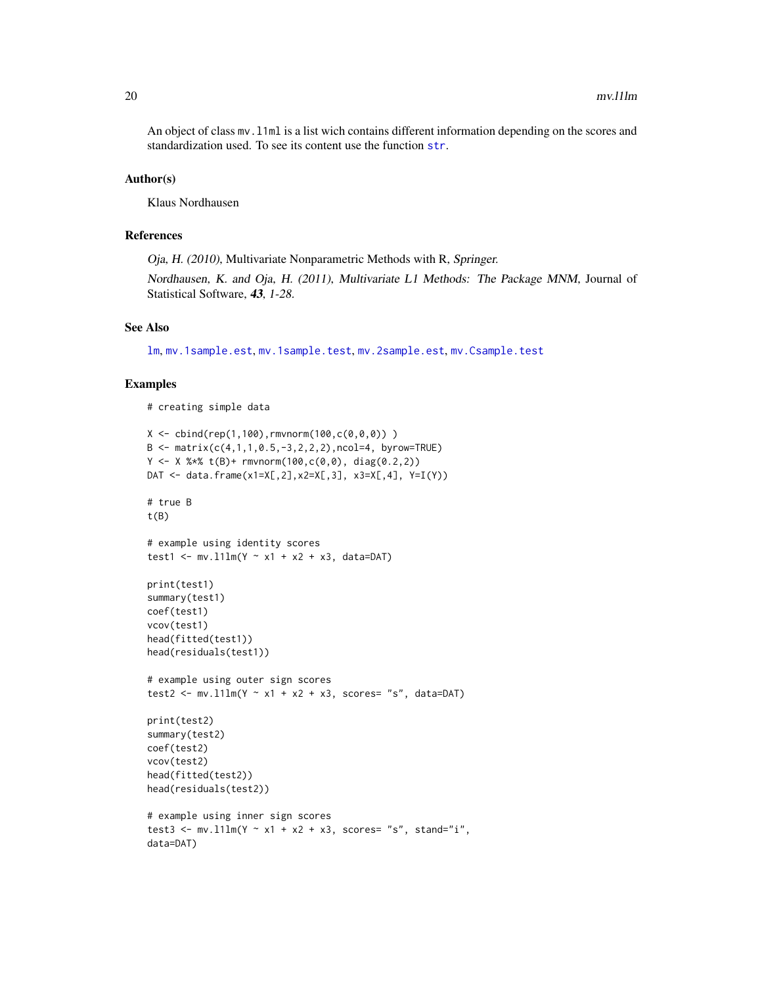<span id="page-19-0"></span>An object of class mv.l1ml is a list wich contains different information depending on the scores and standardization used. To see its content use the function [str](#page-0-0).

#### Author(s)

Klaus Nordhausen

#### References

Oja, H. (2010), Multivariate Nonparametric Methods with R, Springer.

Nordhausen, K. and Oja, H. (2011), Multivariate L1 Methods: The Package MNM, Journal of Statistical Software, 43, 1-28.

# See Also

[lm](#page-0-0), [mv.1sample.est](#page-6-1), [mv.1sample.test](#page-8-1), [mv.2sample.est](#page-9-1), [mv.Csample.test](#page-14-1)

#### Examples

```
# creating simple data
```

```
X \le - \text{cbind}(\text{rep}(1,100), \text{rmvnorm}(100, c(0,0,0)))B \le - matrix(c(4,1,1,0.5,-3,2,2,2),ncol=4, byrow=TRUE)
Y \leftarrow X %*% t(B)+ rmvnorm(100,c(0,0), diag(0.2,2))
DAT <- data.frame(x1=X[,2],x2=X[,3], x3=X[,4], Y=I(Y))
# true B
t(B)# example using identity scores
test1 <- mv.11lm(Y ~ x1 + x2 + x3, data=DAT)
print(test1)
summary(test1)
coef(test1)
vcov(test1)
head(fitted(test1))
head(residuals(test1))
# example using outer sign scores
test2 <- mv.l1lm(Y ~ x1 + x2 + x3, scores= "s", data=DAT)
print(test2)
summary(test2)
coef(test2)
vcov(test2)
head(fitted(test2))
head(residuals(test2))
# example using inner sign scores
test3 <- mv.l1lm(Y ~ x1 + x2 + x3, scores= "s", stand="i",
data=DAT)
```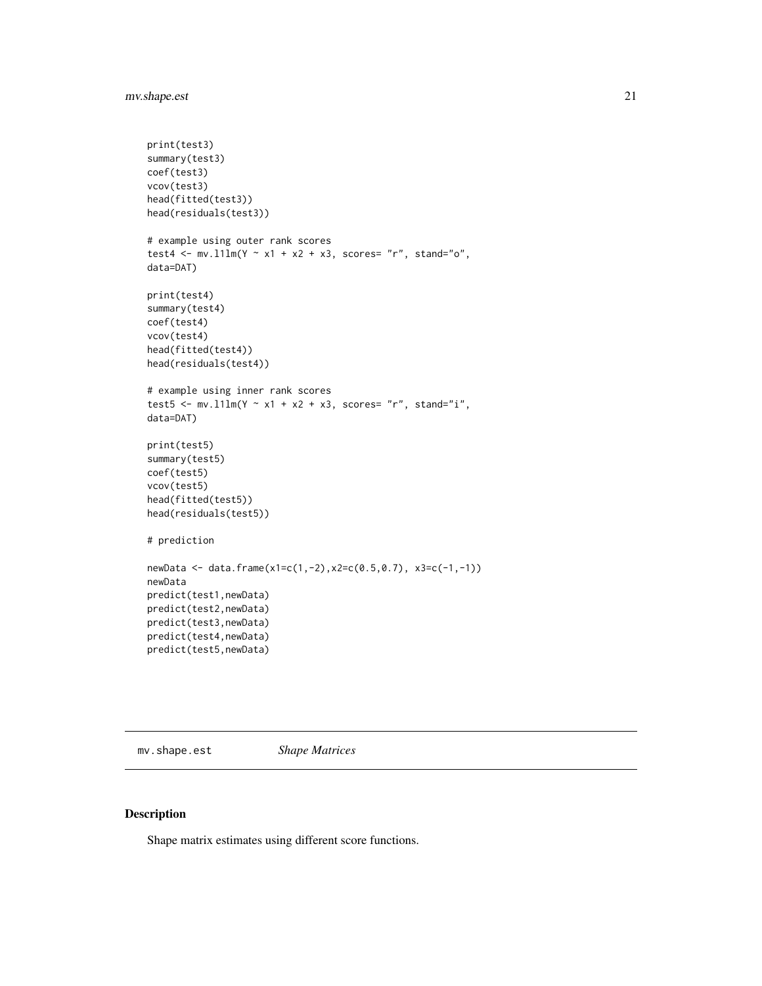# <span id="page-20-0"></span>mv.shape.est 21

```
print(test3)
summary(test3)
coef(test3)
vcov(test3)
head(fitted(test3))
head(residuals(test3))
# example using outer rank scores
test4 <- mv.111m(Y ~ x1 + x2 + x3, scores= "r", stand="o",
data=DAT)
print(test4)
summary(test4)
coef(test4)
vcov(test4)
head(fitted(test4))
head(residuals(test4))
# example using inner rank scores
test5 <- mv.l1lm(Y ~ x1 + x2 + x3, scores= "r", stand="i",
data=DAT)
print(test5)
summary(test5)
coef(test5)
vcov(test5)
head(fitted(test5))
head(residuals(test5))
# prediction
newData <- data.frame(x1=c(1,-2),x2=c(0.5,0.7), x3=c(-1,-1))
newData
predict(test1,newData)
predict(test2,newData)
predict(test3,newData)
predict(test4,newData)
predict(test5,newData)
```
mv.shape.est *Shape Matrices*

#### Description

Shape matrix estimates using different score functions.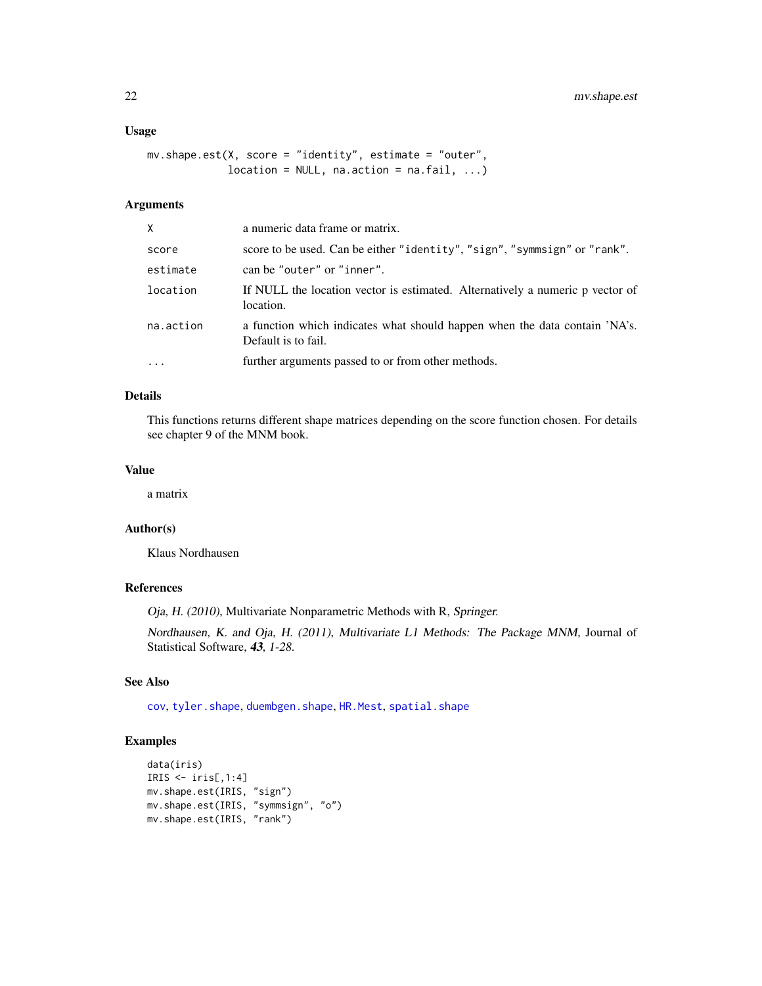#### <span id="page-21-0"></span>Usage

```
mv.shape.est(X, score = "identity", estimate = "outer",
            location = NULL, na.action = na.fail, ...)
```
# Arguments

| X         | a numeric data frame or matrix.                                                                   |
|-----------|---------------------------------------------------------------------------------------------------|
| score     | score to be used. Can be either "identity", "sign", "symmsign" or "rank".                         |
| estimate  | can be "outer" or "inner".                                                                        |
| location  | If NULL the location vector is estimated. Alternatively a numeric p vector of<br>location.        |
| na.action | a function which indicates what should happen when the data contain 'NA's.<br>Default is to fail. |
|           | further arguments passed to or from other methods.                                                |

# Details

This functions returns different shape matrices depending on the score function chosen. For details see chapter 9 of the MNM book.

#### Value

a matrix

#### Author(s)

Klaus Nordhausen

# References

Oja, H. (2010), Multivariate Nonparametric Methods with R, Springer.

Nordhausen, K. and Oja, H. (2011), Multivariate L1 Methods: The Package MNM, Journal of Statistical Software, 43, 1-28.

# See Also

[cov](#page-0-0), [tyler.shape](#page-0-0), [duembgen.shape](#page-0-0), [HR.Mest](#page-0-0), [spatial.shape](#page-0-0)

# Examples

```
data(iris)
IRIS \leftarrow iris[,1:4]
mv.shape.est(IRIS, "sign")
mv.shape.est(IRIS, "symmsign", "o")
mv.shape.est(IRIS, "rank")
```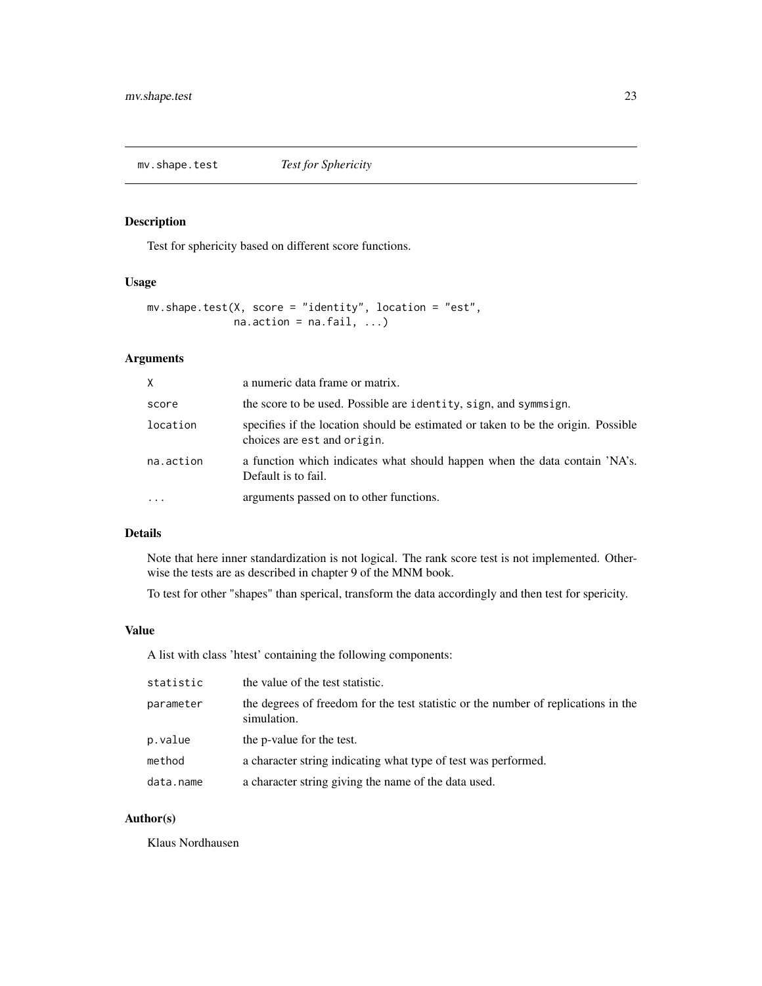<span id="page-22-0"></span>

Test for sphericity based on different score functions.

#### Usage

```
mv.shape.test(X, score = "identity", location = "est",
              na. action = na. fail, ...)
```
#### Arguments

| X         | a numeric data frame or matrix.                                                                                  |
|-----------|------------------------------------------------------------------------------------------------------------------|
| score     | the score to be used. Possible are identity, sign, and symmsign.                                                 |
| location  | specifies if the location should be estimated or taken to be the origin. Possible<br>choices are est and origin. |
| na.action | a function which indicates what should happen when the data contain 'NA's.<br>Default is to fail.                |
| $\cdots$  | arguments passed on to other functions.                                                                          |

#### Details

Note that here inner standardization is not logical. The rank score test is not implemented. Otherwise the tests are as described in chapter 9 of the MNM book.

To test for other "shapes" than sperical, transform the data accordingly and then test for spericity.

#### Value

A list with class 'htest' containing the following components:

| statistic | the value of the test statistic.                                                                  |
|-----------|---------------------------------------------------------------------------------------------------|
| parameter | the degrees of freedom for the test statistic or the number of replications in the<br>simulation. |
| p.value   | the p-value for the test.                                                                         |
| method    | a character string indicating what type of test was performed.                                    |
| data.name | a character string giving the name of the data used.                                              |

# Author(s)

Klaus Nordhausen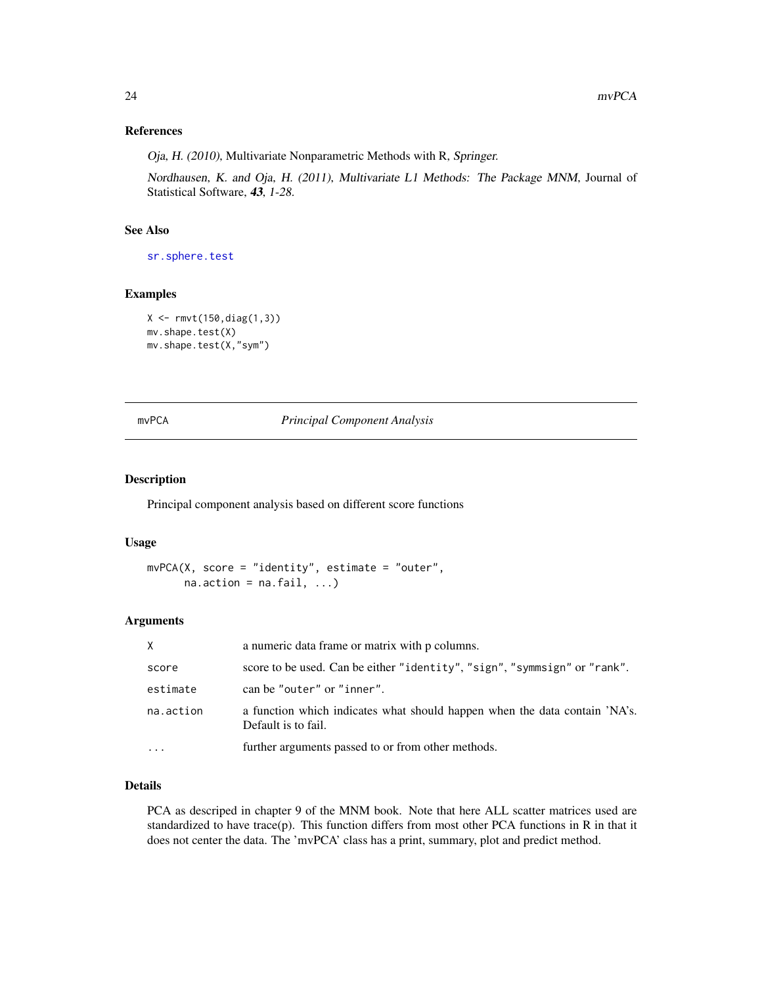# <span id="page-23-0"></span>References

Oja, H. (2010), Multivariate Nonparametric Methods with R, Springer.

Nordhausen, K. and Oja, H. (2011), Multivariate L1 Methods: The Package MNM, Journal of Statistical Software, 43, 1-28.

#### See Also

[sr.sphere.test](#page-0-0)

# Examples

```
X \leftarrow \text{rmvt}(150, \text{diag}(1, 3))mv.shape.test(X)
mv.shape.test(X,"sym")
```
#### mvPCA *Principal Component Analysis*

#### Description

Principal component analysis based on different score functions

#### Usage

```
mvPCA(X, score = "identity", estimate = "outer",na. action = na. fail, ...)
```
#### Arguments

| X         | a numeric data frame or matrix with p columns.                                                    |
|-----------|---------------------------------------------------------------------------------------------------|
| score     | score to be used. Can be either "identity", "sign", "symmsign" or "rank".                         |
| estimate  | can be "outer" or "inner".                                                                        |
| na.action | a function which indicates what should happen when the data contain 'NA's.<br>Default is to fail. |
|           | further arguments passed to or from other methods.                                                |

#### Details

PCA as descriped in chapter 9 of the MNM book. Note that here ALL scatter matrices used are standardized to have trace(p). This function differs from most other PCA functions in R in that it does not center the data. The 'mvPCA' class has a print, summary, plot and predict method.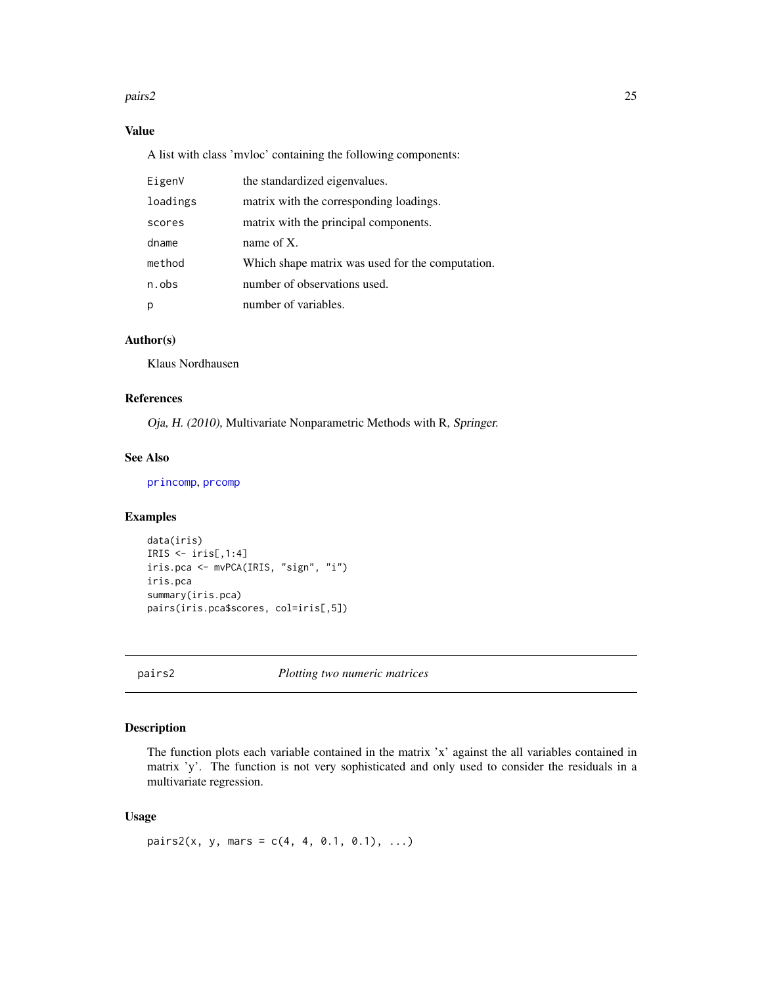#### <span id="page-24-0"></span>pairs2 25

# Value

A list with class 'mvloc' containing the following components:

| EigenV   | the standardized eigenvalues.                    |
|----------|--------------------------------------------------|
| loadings | matrix with the corresponding loadings.          |
| scores   | matrix with the principal components.            |
| dname    | name of $X$ .                                    |
| method   | Which shape matrix was used for the computation. |
| n.obs    | number of observations used.                     |
| p        | number of variables.                             |

# Author(s)

Klaus Nordhausen

# References

Oja, H. (2010), Multivariate Nonparametric Methods with R, Springer.

# See Also

[princomp](#page-0-0), [prcomp](#page-0-0)

# Examples

```
data(iris)
IRIS \le iris[,1:4]
iris.pca <- mvPCA(IRIS, "sign", "i")
iris.pca
summary(iris.pca)
pairs(iris.pca$scores, col=iris[,5])
```
pairs2 *Plotting two numeric matrices*

# Description

The function plots each variable contained in the matrix 'x' against the all variables contained in matrix 'y'. The function is not very sophisticated and only used to consider the residuals in a multivariate regression.

# Usage

pairs2(x, y, mars =  $c(4, 4, 0.1, 0.1), ...$ )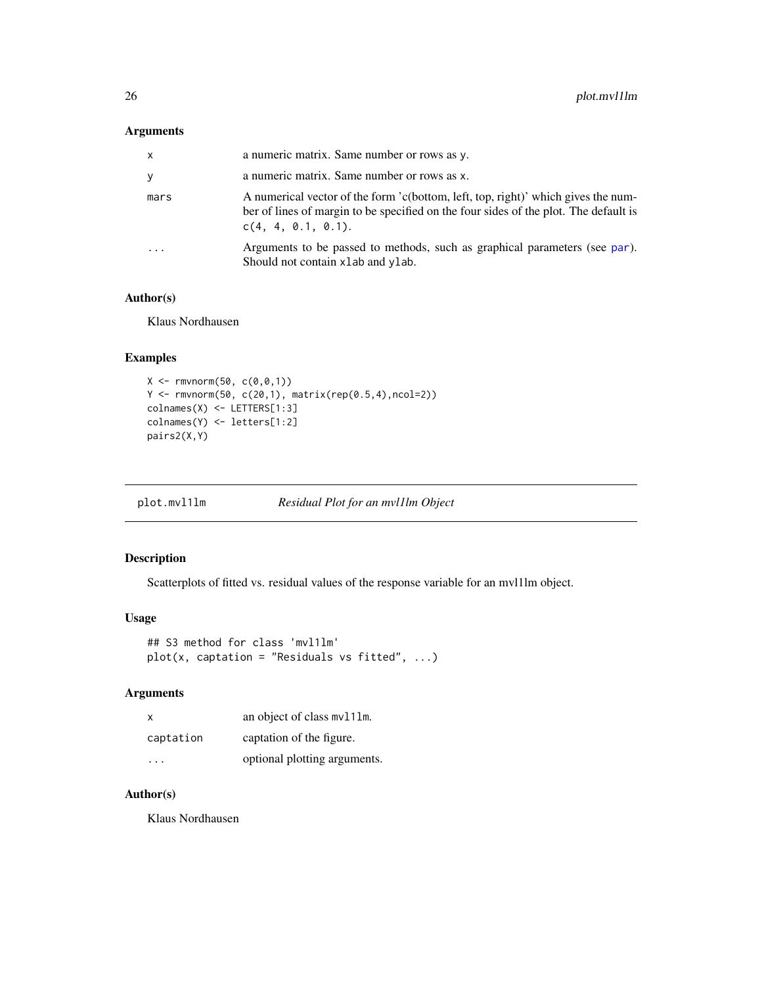#### <span id="page-25-0"></span>Arguments

| $\mathsf{x}$ | a numeric matrix. Same number or rows as y.                                                                                                                                                     |
|--------------|-------------------------------------------------------------------------------------------------------------------------------------------------------------------------------------------------|
| y            | a numeric matrix. Same number or rows as x.                                                                                                                                                     |
| mars         | A numerical vector of the form 'c(bottom, left, top, right)' which gives the num-<br>ber of lines of margin to be specified on the four sides of the plot. The default is<br>C(4, 4, 0.1, 0.1). |
|              | Arguments to be passed to methods, such as graphical parameters (see par).<br>Should not contain x lab and y lab.                                                                               |

# Author(s)

Klaus Nordhausen

# Examples

```
X \leftarrow \text{rmvnorm}(50, c(0, 0, 1))Y <- rmvnorm(50, c(20,1), matrix(rep(0.5,4),ncol=2))
colnames(X) <- LETTERS[1:3]
colnames(Y) <- letters[1:2]
pairs2(X,Y)
```
plot.mvl1lm *Residual Plot for an mvl1lm Object*

# Description

Scatterplots of fitted vs. residual values of the response variable for an mvl1lm object.

#### Usage

```
## S3 method for class 'mvl1lm'
plot(x, captation = "Residuals vs fitted", ...)
```
# Arguments

| $\mathsf{x}$ | an object of class mv111m.   |
|--------------|------------------------------|
| captation    | captation of the figure.     |
| .            | optional plotting arguments. |

# Author(s)

Klaus Nordhausen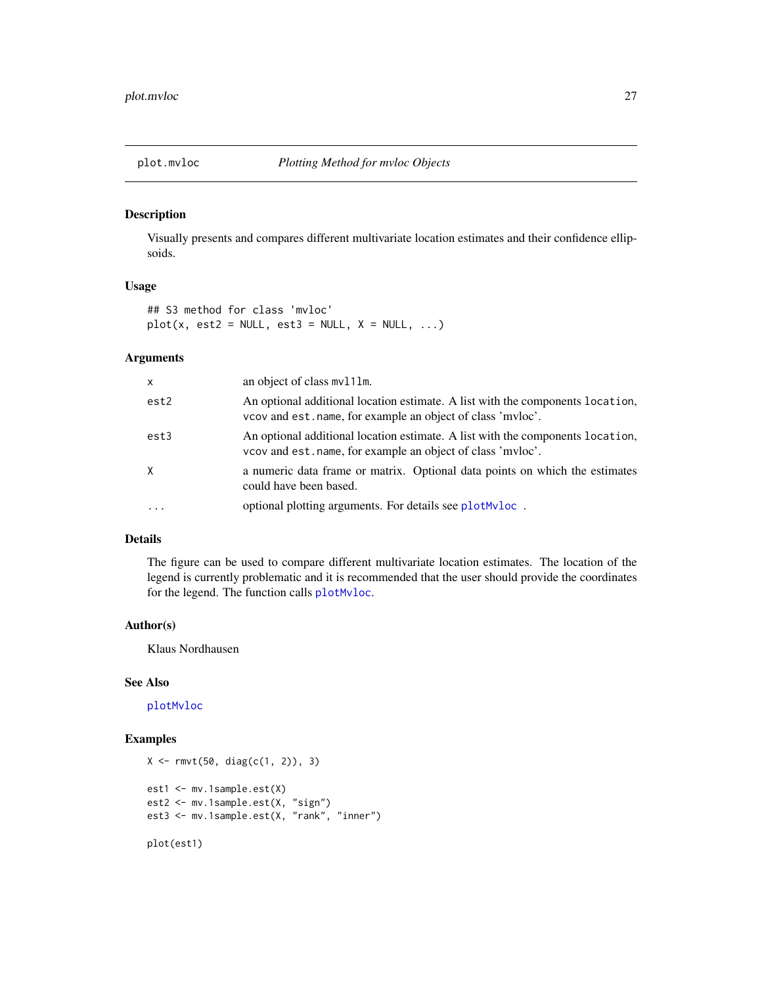<span id="page-26-0"></span>

Visually presents and compares different multivariate location estimates and their confidence ellipsoids.

#### Usage

## S3 method for class 'mvloc'  $plot(x, est2 = NULL, est3 = NULL, X = NULL, ...)$ 

#### Arguments

| X        | an object of class mv111m.                                                                                                                    |
|----------|-----------------------------------------------------------------------------------------------------------------------------------------------|
| est2     | An optional additional location estimate. A list with the components location,<br>vcov and est. name, for example an object of class 'mvloc'. |
| est3     | An optional additional location estimate. A list with the components location,<br>vcov and est. name, for example an object of class 'mvloc'. |
| X        | a numeric data frame or matrix. Optional data points on which the estimates<br>could have been based.                                         |
| $\cdots$ | optional plotting arguments. For details see plot Mvloc.                                                                                      |

#### Details

The figure can be used to compare different multivariate location estimates. The location of the legend is currently problematic and it is recommended that the user should provide the coordinates for the legend. The function calls [plotMvloc](#page-27-1).

#### Author(s)

Klaus Nordhausen

#### See Also

[plotMvloc](#page-27-1)

# Examples

```
X \leftarrow \text{rmvt}(50, \text{diag}(c(1, 2)), 3)est1 <- mv.1sample.est(X)
est2 <- mv.1sample.est(X, "sign")
est3 <- mv.1sample.est(X, "rank", "inner")
plot(est1)
```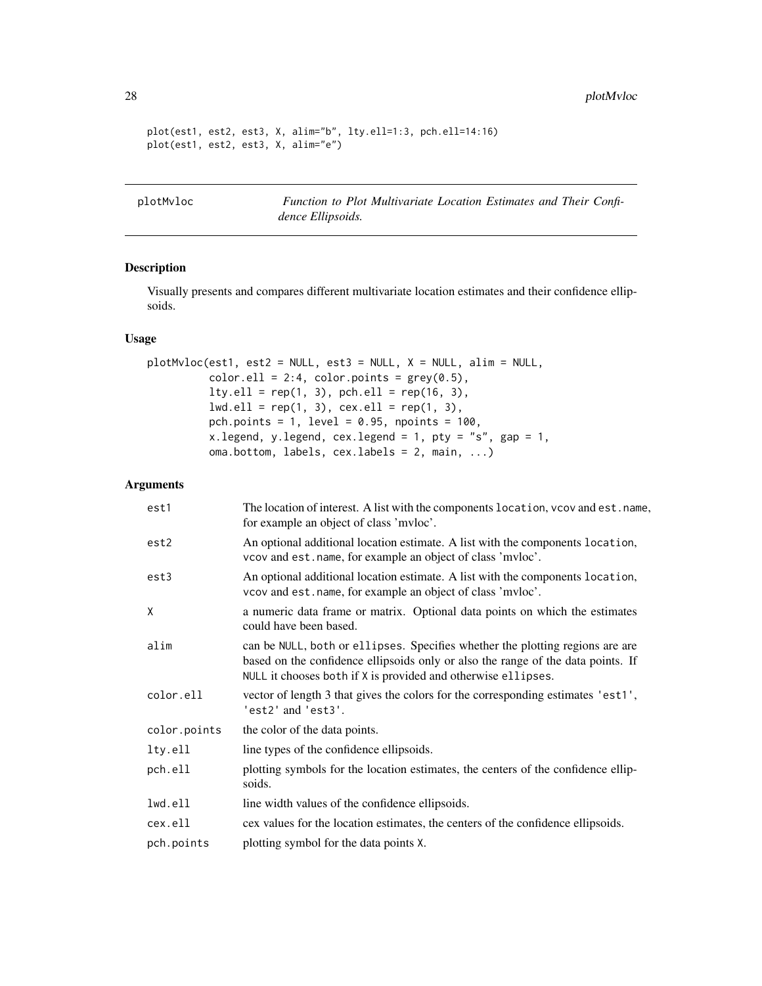<span id="page-27-0"></span>28 plotMvloc

```
plot(est1, est2, est3, X, alim="b", lty.ell=1:3, pch.ell=14:16)
plot(est1, est2, est3, X, alim="e")
```
<span id="page-27-1"></span>plotMvloc *Function to Plot Multivariate Location Estimates and Their Confidence Ellipsoids.*

# Description

Visually presents and compares different multivariate location estimates and their confidence ellipsoids.

#### Usage

```
plotMvloc(est1, est2 = NULL, est3 = NULL, X = NULL, alim = NULL,
         color.ell = 2:4, color.points = grey(0.5),
         lty.ell = rep(1, 3), pch.ell = rep(16, 3),lwd.ell = rep(1, 3), cex.ell = rep(1, 3),pch.points = 1, level = 0.95, npoints = 100,
         x.legend, y.legend, cex.legend = 1, pty = "s", gap = 1,
         oma.bottom, labels, cex.labels = 2, main, ...)
```
#### Arguments

| est1         | The location of interest. A list with the components location, vcov and est. name,<br>for example an object of class 'mvloc'.                                                                                                      |
|--------------|------------------------------------------------------------------------------------------------------------------------------------------------------------------------------------------------------------------------------------|
| est2         | An optional additional location estimate. A list with the components location,<br>vcov and est. name, for example an object of class 'mvloc'.                                                                                      |
| est3         | An optional additional location estimate. A list with the components location,<br>vcov and est. name, for example an object of class 'mvloc'.                                                                                      |
| X            | a numeric data frame or matrix. Optional data points on which the estimates<br>could have been based.                                                                                                                              |
| alim         | can be NULL, both or ellipses. Specifies whether the plotting regions are are<br>based on the confidence ellipsoids only or also the range of the data points. If<br>NULL it chooses both if X is provided and otherwise ellipses. |
| color.ell    | vector of length 3 that gives the colors for the corresponding estimates 'est1',<br>'est2' and 'est3'.                                                                                                                             |
| color.points | the color of the data points.                                                                                                                                                                                                      |
| lty.ell      | line types of the confidence ellipsoids.                                                                                                                                                                                           |
| pch.ell      | plotting symbols for the location estimates, the centers of the confidence ellip-<br>soids.                                                                                                                                        |
| lwd.ell      | line width values of the confidence ellipsoids.                                                                                                                                                                                    |
| cex.ell      | cex values for the location estimates, the centers of the confidence ellipsoids.                                                                                                                                                   |
| pch.points   | plotting symbol for the data points X.                                                                                                                                                                                             |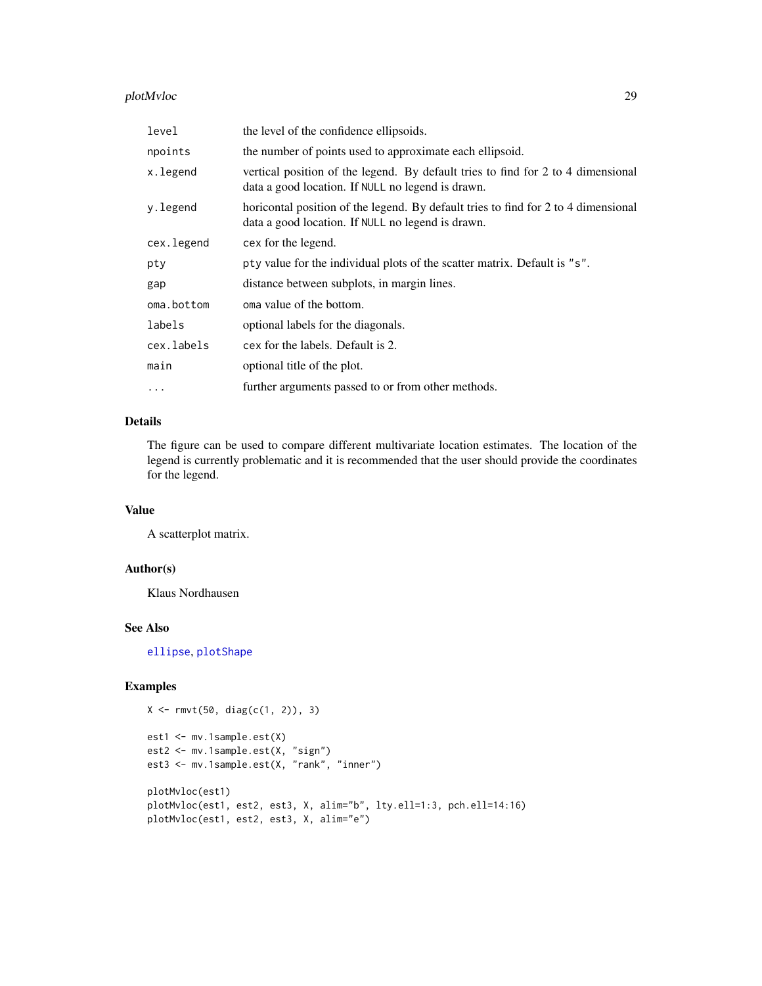# <span id="page-28-0"></span>plotMvloc 29

| level      | the level of the confidence ellipsoids.                                                                                                 |
|------------|-----------------------------------------------------------------------------------------------------------------------------------------|
| npoints    | the number of points used to approximate each ellipsoid.                                                                                |
| x.legend   | vertical position of the legend. By default tries to find for 2 to 4 dimensional<br>data a good location. If NULL no legend is drawn.   |
| y.legend   | horicontal position of the legend. By default tries to find for 2 to 4 dimensional<br>data a good location. If NULL no legend is drawn. |
| cex.legend | cex for the legend.                                                                                                                     |
| pty        | pty value for the individual plots of the scatter matrix. Default is "s".                                                               |
| gap        | distance between subplots, in margin lines.                                                                                             |
| oma.bottom | oma value of the bottom.                                                                                                                |
| labels     | optional labels for the diagonals.                                                                                                      |
| cex.labels | cex for the labels. Default is 2.                                                                                                       |
| main       | optional title of the plot.                                                                                                             |
| $\cdots$   | further arguments passed to or from other methods.                                                                                      |

# Details

The figure can be used to compare different multivariate location estimates. The location of the legend is currently problematic and it is recommended that the user should provide the coordinates for the legend.

#### Value

A scatterplot matrix.

# Author(s)

Klaus Nordhausen

#### See Also

[ellipse](#page-0-0), [plotShape](#page-29-1)

# Examples

```
X \leftarrow \text{rmvt}(50, \text{diag}(c(1, 2)), 3)
```

```
est1 <- mv.1sample.est(X)
est2 <- mv.1sample.est(X, "sign")
est3 <- mv.1sample.est(X, "rank", "inner")
plotMvloc(est1)
plotMvloc(est1, est2, est3, X, alim="b", lty.ell=1:3, pch.ell=14:16)
plotMvloc(est1, est2, est3, X, alim="e")
```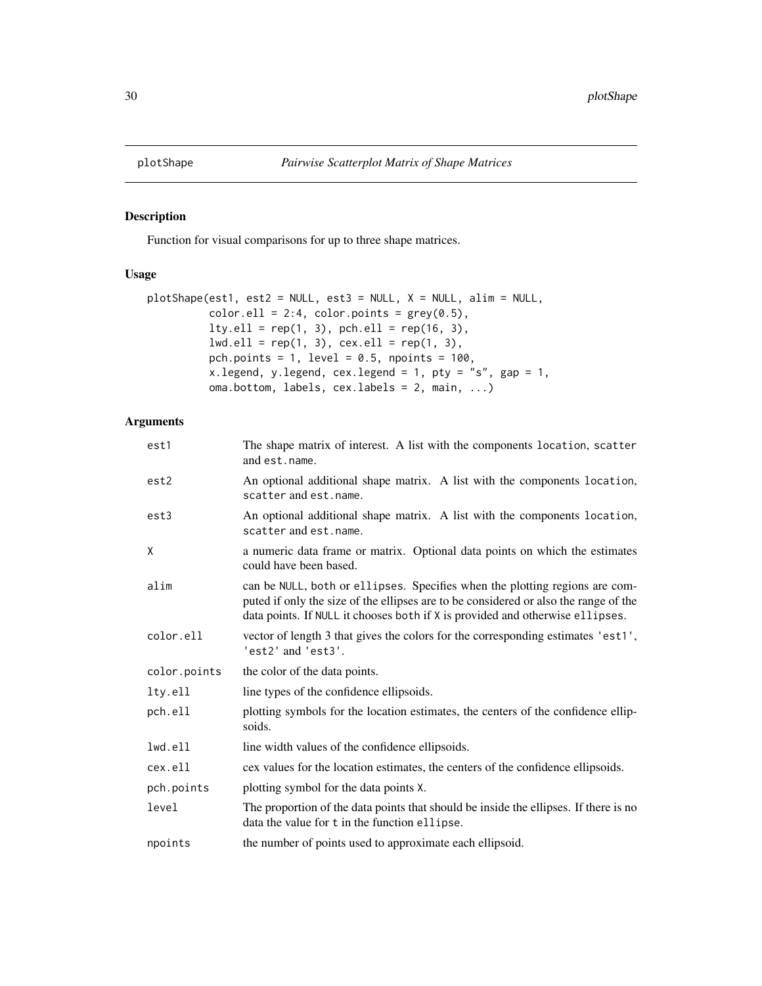<span id="page-29-1"></span><span id="page-29-0"></span>

Function for visual comparisons for up to three shape matrices.

# Usage

```
plotShape(est1, est2 = NULL, est3 = NULL, X = NULL, alim = NULL,
          color.ell = 2:4, color.points = grey(0.5),
          lty.ell = rep(1, 3), pch.ell = rep(16, 3),lwd.ell = rep(1, 3), cex.ell = rep(1, 3),
          pch.points = 1, level = 0.5, npoints = 100,
         x.legend, y.legend, cex.legend = 1, pty = "s", gap = 1,oma.bottom, labels, cex.labels = 2, main, ...)
```
# Arguments

| est1         | The shape matrix of interest. A list with the components location, scatter<br>and est.name.                                                                                                                                                          |  |
|--------------|------------------------------------------------------------------------------------------------------------------------------------------------------------------------------------------------------------------------------------------------------|--|
| est2         | An optional additional shape matrix. A list with the components location,<br>scatter and est. name.                                                                                                                                                  |  |
| est3         | An optional additional shape matrix. A list with the components location,<br>scatter and est.name.                                                                                                                                                   |  |
| X            | a numeric data frame or matrix. Optional data points on which the estimates<br>could have been based.                                                                                                                                                |  |
| alim         | can be NULL, both or ellipses. Specifies when the plotting regions are com-<br>puted if only the size of the ellipses are to be considered or also the range of the<br>data points. If NULL it chooses both if X is provided and otherwise ellipses. |  |
| color.ell    | vector of length 3 that gives the colors for the corresponding estimates 'est1',<br>'est2' and 'est3'.                                                                                                                                               |  |
| color.points | the color of the data points.                                                                                                                                                                                                                        |  |
| lty.ell      | line types of the confidence ellipsoids.                                                                                                                                                                                                             |  |
| pch.ell      | plotting symbols for the location estimates, the centers of the confidence ellip-<br>soids.                                                                                                                                                          |  |
| lwd.ell      | line width values of the confidence ellipsoids.                                                                                                                                                                                                      |  |
| cex.ell      | cex values for the location estimates, the centers of the confidence ellipsoids.                                                                                                                                                                     |  |
| pch.points   | plotting symbol for the data points X.                                                                                                                                                                                                               |  |
| level        | The proportion of the data points that should be inside the ellipses. If there is no<br>data the value for t in the function ellipse.                                                                                                                |  |
| npoints      | the number of points used to approximate each ellipsoid.                                                                                                                                                                                             |  |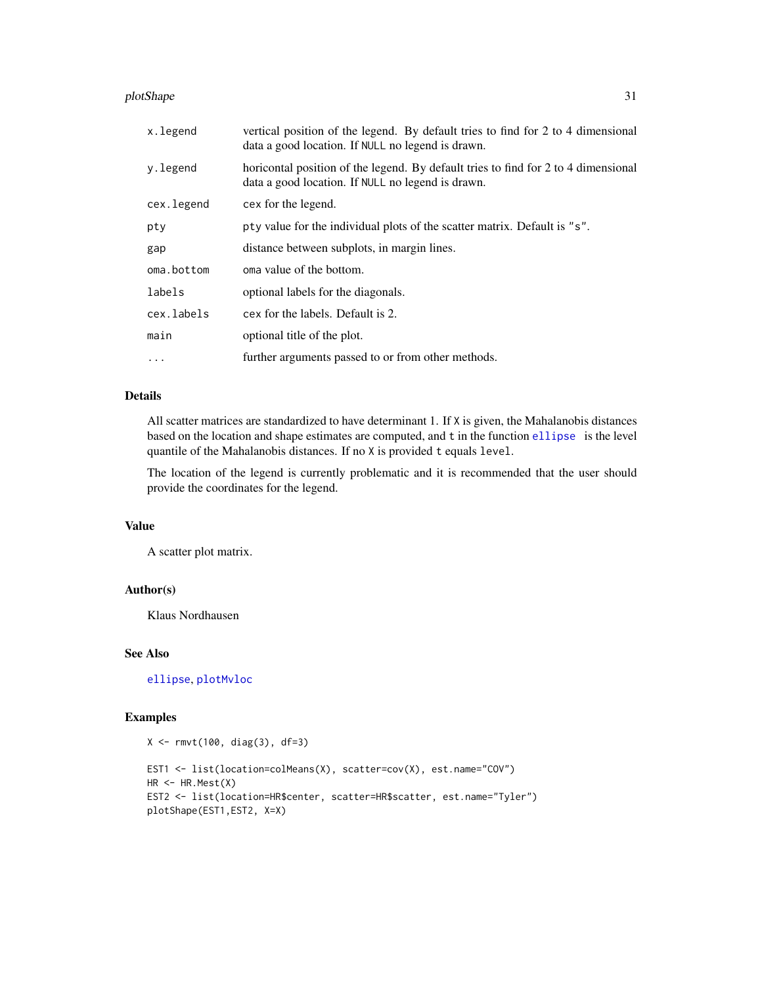#### <span id="page-30-0"></span>plotShape 31

| x.legend   | vertical position of the legend. By default tries to find for 2 to 4 dimensional<br>data a good location. If NULL no legend is drawn.   |
|------------|-----------------------------------------------------------------------------------------------------------------------------------------|
| y.legend   | horicontal position of the legend. By default tries to find for 2 to 4 dimensional<br>data a good location. If NULL no legend is drawn. |
| cex.legend | cex for the legend.                                                                                                                     |
| pty        | pty value for the individual plots of the scatter matrix. Default is "s".                                                               |
| gap        | distance between subplots, in margin lines.                                                                                             |
| oma.bottom | oma value of the bottom.                                                                                                                |
| labels     | optional labels for the diagonals.                                                                                                      |
| cex.labels | cex for the labels. Default is 2.                                                                                                       |
| main       | optional title of the plot.                                                                                                             |
| .          | further arguments passed to or from other methods.                                                                                      |

# Details

All scatter matrices are standardized to have determinant 1. If X is given, the Mahalanobis distances based on the location and shape estimates are computed, and t in the function [ellipse](#page-0-0) is the level quantile of the Mahalanobis distances. If no X is provided t equals level.

The location of the legend is currently problematic and it is recommended that the user should provide the coordinates for the legend.

# Value

A scatter plot matrix.

# Author(s)

Klaus Nordhausen

# See Also

[ellipse](#page-0-0), [plotMvloc](#page-27-1)

# Examples

```
X <- rmvt(100, diag(3), df=3)
EST1 <- list(location=colMeans(X), scatter=cov(X), est.name="COV")
HR < -HR.Mest(X)EST2 <- list(location=HR$center, scatter=HR$scatter, est.name="Tyler")
plotShape(EST1,EST2, X=X)
```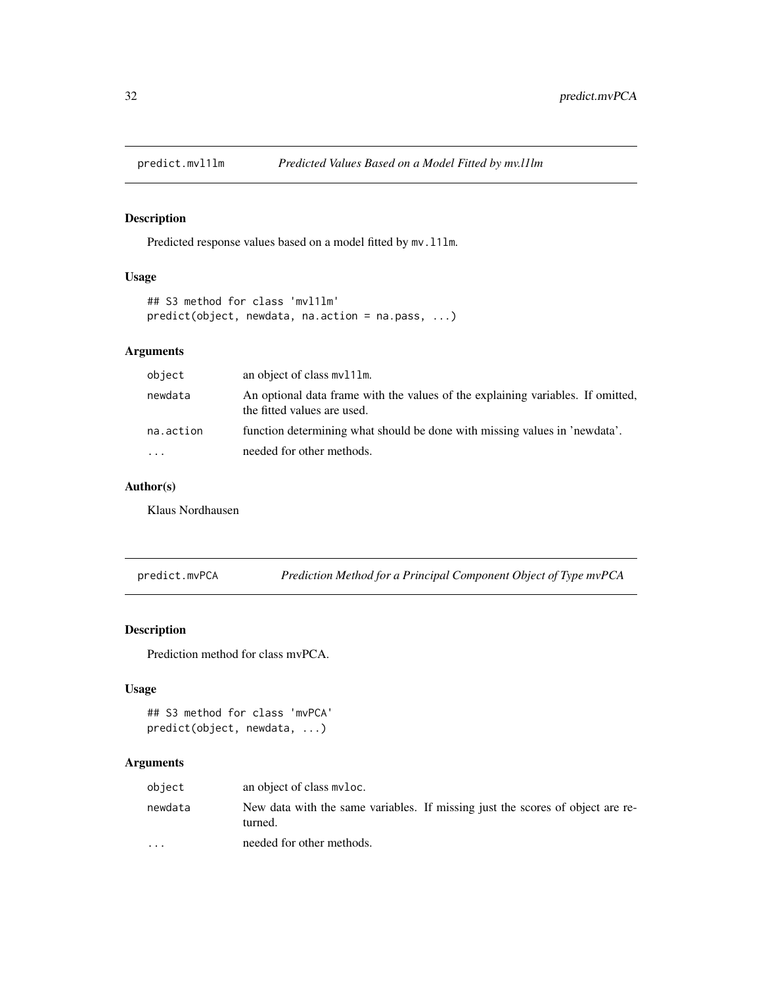<span id="page-31-0"></span>

Predicted response values based on a model fitted by  $mv.11lm$ .

#### Usage

```
## S3 method for class 'mvl1lm'
predict(object, newdata, na.action = na.pass, ...)
```
# Arguments

| object    | an object of class mv111m.                                                                                     |
|-----------|----------------------------------------------------------------------------------------------------------------|
| newdata   | An optional data frame with the values of the explaining variables. If omitted,<br>the fitted values are used. |
| na.action | function determining what should be done with missing values in 'newdata'.                                     |
| $\cdots$  | needed for other methods.                                                                                      |

# Author(s)

Klaus Nordhausen

predict.mvPCA *Prediction Method for a Principal Component Object of Type mvPCA*

# Description

Prediction method for class mvPCA.

#### Usage

```
## S3 method for class 'mvPCA'
predict(object, newdata, ...)
```
# Arguments

| object                  | an object of class myloc.                                                                 |
|-------------------------|-------------------------------------------------------------------------------------------|
| newdata                 | New data with the same variables. If missing just the scores of object are re-<br>turned. |
| $\cdot$ $\cdot$ $\cdot$ | needed for other methods.                                                                 |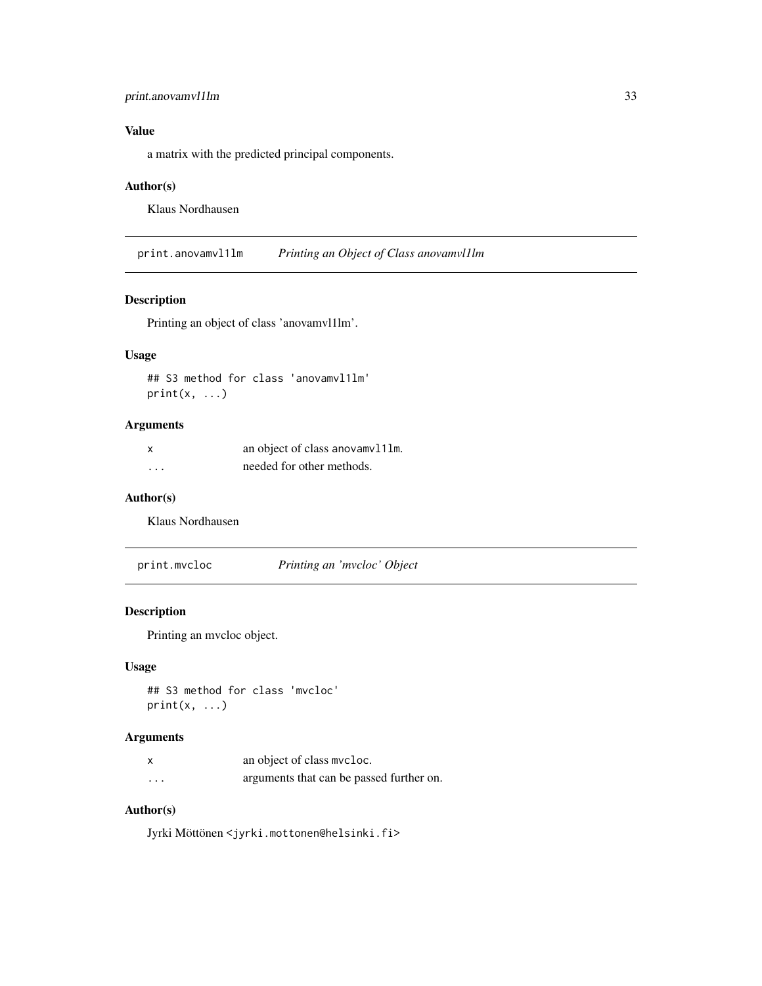# <span id="page-32-0"></span>print.anovamvl1lm 33

# Value

a matrix with the predicted principal components.

#### Author(s)

Klaus Nordhausen

print.anovamvl1lm *Printing an Object of Class anovamvl1lm*

# Description

Printing an object of class 'anovamvl1lm'.

# Usage

## S3 method for class 'anovamvl1lm'  $print(x, \ldots)$ 

# Arguments

| X | an object of class anovamv111m. |
|---|---------------------------------|
| . | needed for other methods.       |

#### Author(s)

Klaus Nordhausen

print.mvcloc *Printing an 'mvcloc' Object*

#### Description

Printing an mvcloc object.

#### Usage

```
## S3 method for class 'mvcloc'
print(x, \ldots)
```
# Arguments

|          | an object of class mycloc.               |
|----------|------------------------------------------|
| $\cdots$ | arguments that can be passed further on. |

#### Author(s)

Jyrki Möttönen <jyrki.mottonen@helsinki.fi>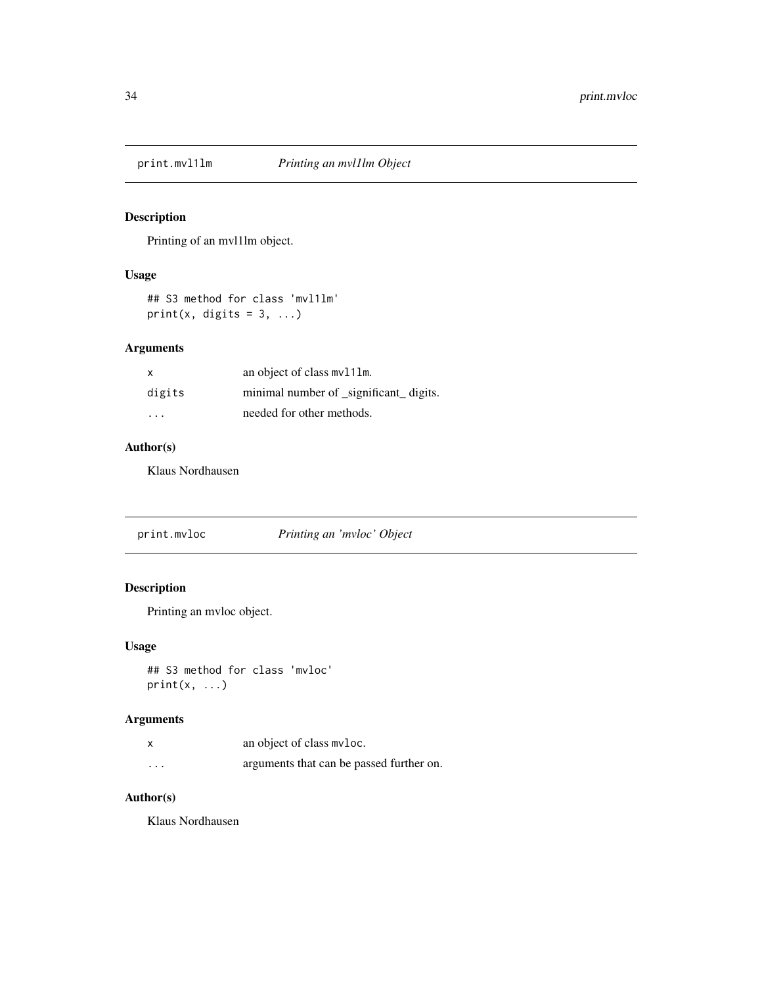<span id="page-33-0"></span>

Printing of an mvl1lm object.

# Usage

## S3 method for class 'mvl1lm' print(x, digits =  $3, ...$ )

# Arguments

| X      | an object of class mv111m.              |
|--------|-----------------------------------------|
| digits | minimal number of _significant_ digits. |
| .      | needed for other methods.               |

# Author(s)

Klaus Nordhausen

|--|

# Description

Printing an mvloc object.

# Usage

## S3 method for class 'mvloc'  $print(x, \ldots)$ 

# Arguments

|          | an object of class myloc.                |
|----------|------------------------------------------|
| $\cdots$ | arguments that can be passed further on. |

#### Author(s)

Klaus Nordhausen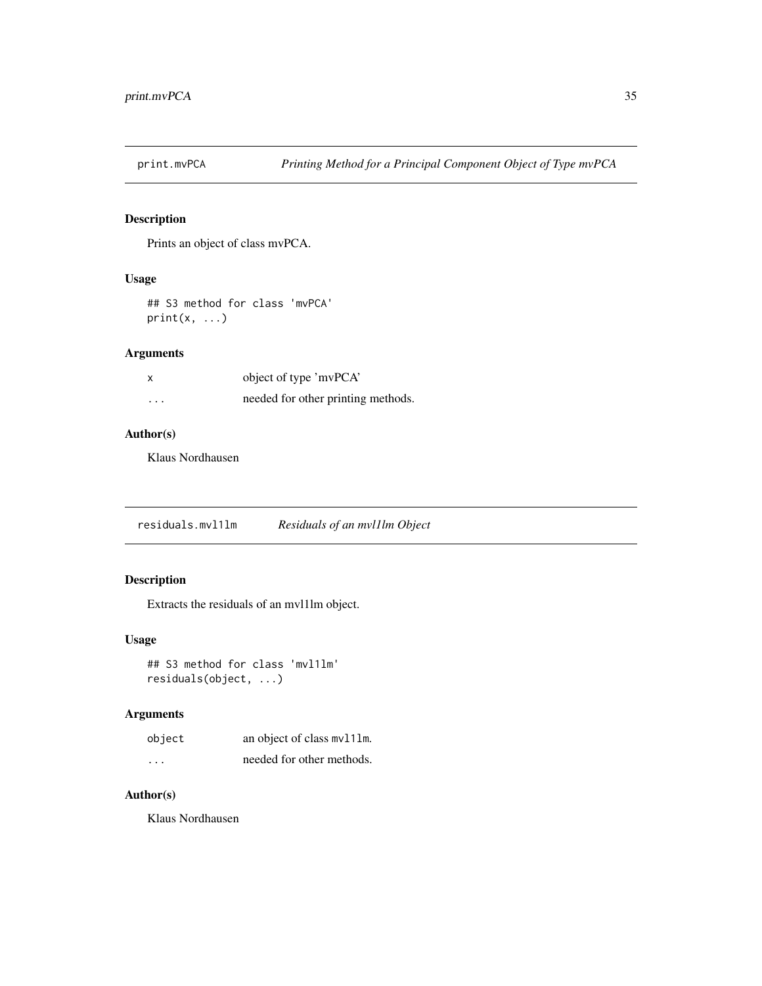<span id="page-34-0"></span>

Prints an object of class mvPCA.

#### Usage

## S3 method for class 'mvPCA'  $print(x, \ldots)$ 

# Arguments

|          | object of type 'mvPCA'             |
|----------|------------------------------------|
| $\cdots$ | needed for other printing methods. |

#### Author(s)

Klaus Nordhausen

residuals.mvl1lm *Residuals of an mvl1lm Object*

# Description

Extracts the residuals of an mvl1lm object.

#### Usage

## S3 method for class 'mvl1lm' residuals(object, ...)

# Arguments

| object   | an object of class mv111m. |
|----------|----------------------------|
| $\cdots$ | needed for other methods.  |

# Author(s)

Klaus Nordhausen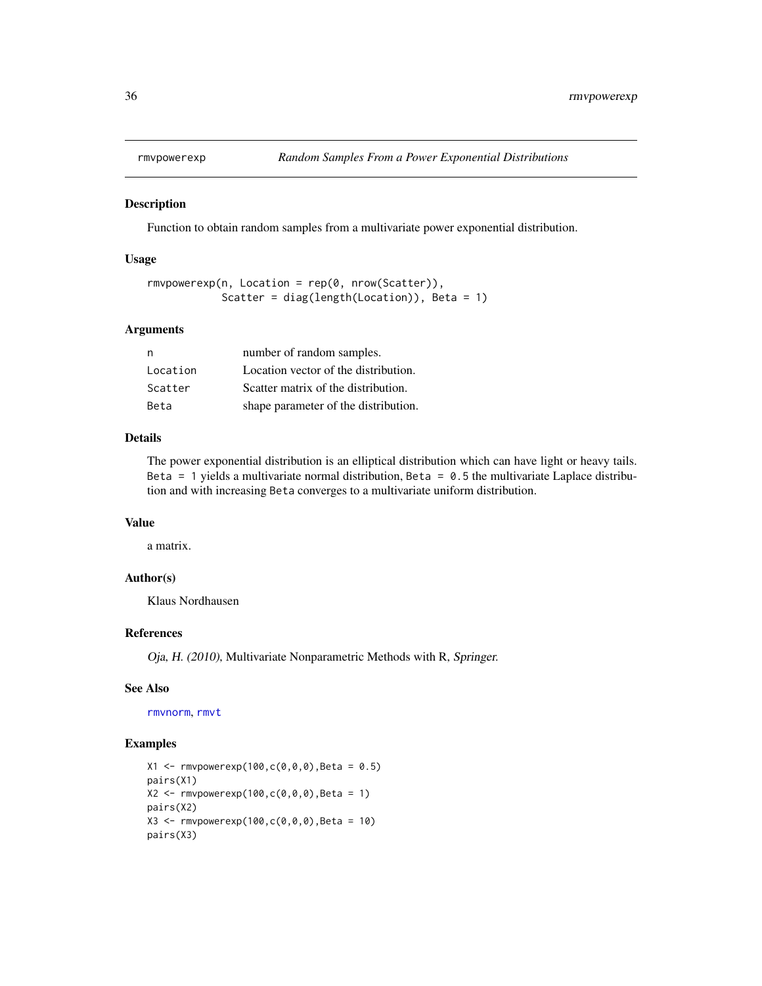<span id="page-35-0"></span>

Function to obtain random samples from a multivariate power exponential distribution.

#### Usage

```
rmvpowerexp(n, Location = rep(0, nrow(Scatter)),
            Scatter = diag(length(Location)), Beta = 1)
```
# Arguments

| n        | number of random samples.            |
|----------|--------------------------------------|
| Location | Location vector of the distribution. |
| Scatter  | Scatter matrix of the distribution.  |
| Beta     | shape parameter of the distribution. |

# Details

The power exponential distribution is an elliptical distribution which can have light or heavy tails. Beta = 1 yields a multivariate normal distribution, Beta =  $0.5$  the multivariate Laplace distribution and with increasing Beta converges to a multivariate uniform distribution.

# Value

a matrix.

#### Author(s)

Klaus Nordhausen

#### References

Oja, H. (2010), Multivariate Nonparametric Methods with R, Springer.

# See Also

[rmvnorm](#page-0-0), [rmvt](#page-0-0)

# Examples

```
X1 <- rmvpowerexp(100,c(0,0,0),Beta = 0.5)
pairs(X1)
X2 <- rmvpowerexp(100,c(0,0,0),Beta = 1)
pairs(X2)
X3 <- rmvpowerexp(100,c(0,0,0),Beta = 10)
pairs(X3)
```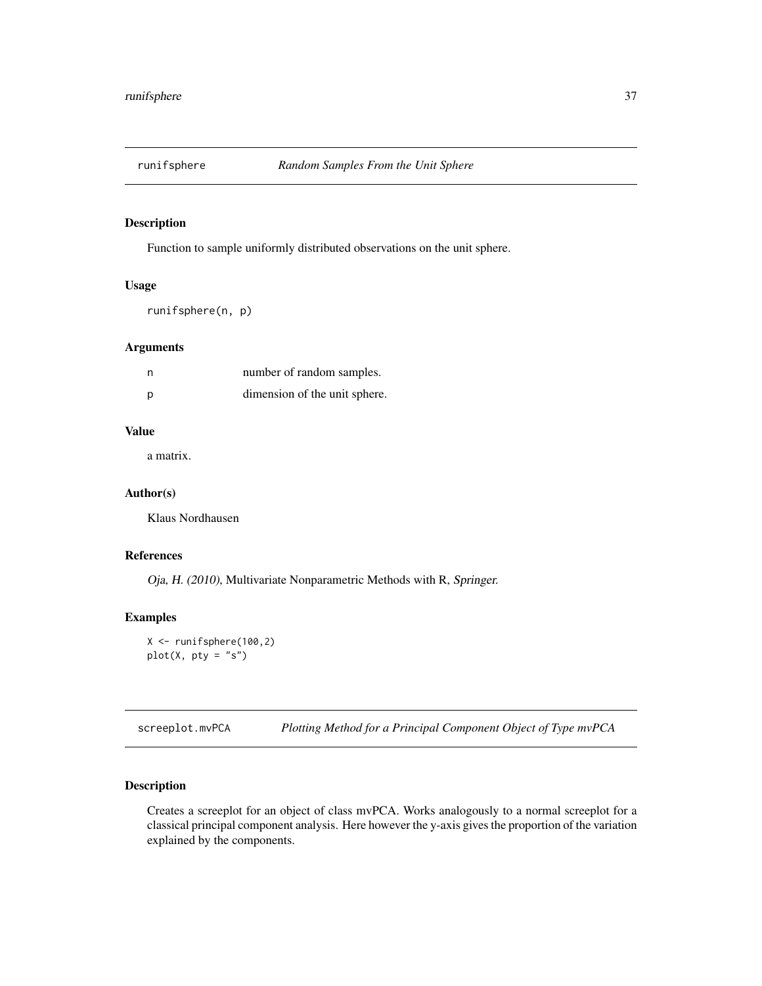<span id="page-36-0"></span>

Function to sample uniformly distributed observations on the unit sphere.

#### Usage

runifsphere(n, p)

# Arguments

| n | number of random samples.     |
|---|-------------------------------|
| D | dimension of the unit sphere. |

#### Value

a matrix.

#### Author(s)

Klaus Nordhausen

# References

Oja, H. (2010), Multivariate Nonparametric Methods with R, Springer.

#### Examples

```
X <- runifsphere(100,2)
plot(X, pty = "s")
```
screeplot.mvPCA *Plotting Method for a Principal Component Object of Type mvPCA*

#### Description

Creates a screeplot for an object of class mvPCA. Works analogously to a normal screeplot for a classical principal component analysis. Here however the y-axis gives the proportion of the variation explained by the components.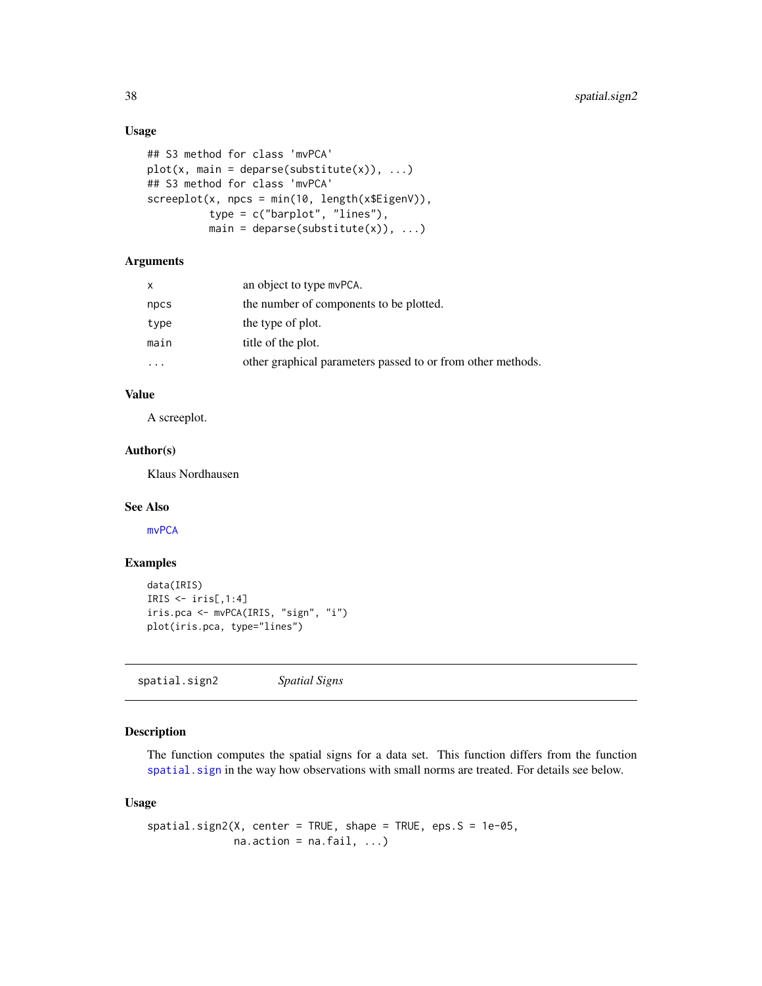# Usage

```
## S3 method for class 'mvPCA'
plot(x, main = deparse(substitute(x)), ...)## S3 method for class 'mvPCA'
screeplot(x, npcs = min(10, length(x$EigenV)),
          type = c("barplot", "lines"),
          main = deparse(substitute(x)), \dots)
```
# Arguments

| $\mathsf{x}$ | an object to type mvPCA.                                    |
|--------------|-------------------------------------------------------------|
| npcs         | the number of components to be plotted.                     |
| type         | the type of plot.                                           |
| main         | title of the plot.                                          |
|              | other graphical parameters passed to or from other methods. |

#### Value

A screeplot.

# Author(s)

Klaus Nordhausen

#### See Also

[mvPCA](#page-23-1)

#### Examples

```
data(IRIS)
IRIS \le iris[,1:4]
iris.pca <- mvPCA(IRIS, "sign", "i")
plot(iris.pca, type="lines")
```
spatial.sign2 *Spatial Signs*

# Description

The function computes the spatial signs for a data set. This function differs from the function [spatial.sign](#page-0-0) in the way how observations with small norms are treated. For details see below.

# Usage

```
spatial.sizen2(X, center = TRUE, shape = TRUE, eps.S = 1e-05,na. action = na. fail, ...)
```
<span id="page-37-0"></span>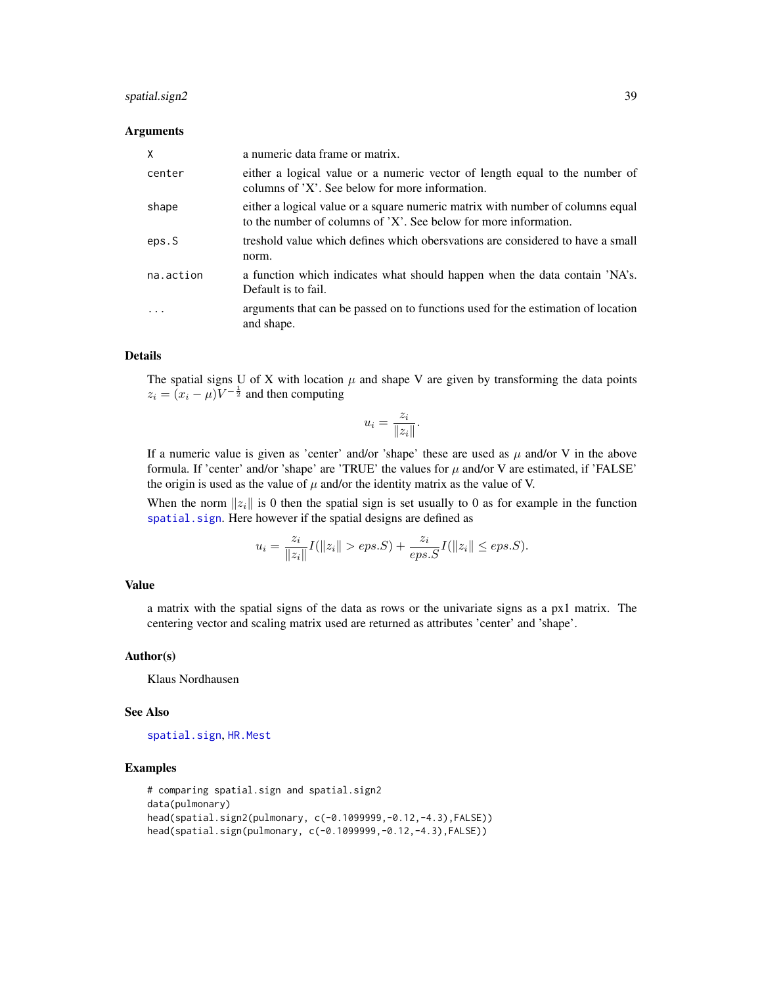#### <span id="page-38-0"></span>spatial.sign2 39

#### **Arguments**

| X         | a numeric data frame or matrix.                                                                                                                    |
|-----------|----------------------------------------------------------------------------------------------------------------------------------------------------|
| center    | either a logical value or a numeric vector of length equal to the number of<br>columns of 'X'. See below for more information.                     |
| shape     | either a logical value or a square numeric matrix with number of columns equal<br>to the number of columns of 'X'. See below for more information. |
| eps.S     | treshold value which defines which obersvations are considered to have a small<br>norm.                                                            |
| na.action | a function which indicates what should happen when the data contain 'NA's.<br>Default is to fail.                                                  |
| .         | arguments that can be passed on to functions used for the estimation of location<br>and shape.                                                     |

# Details

The spatial signs U of X with location  $\mu$  and shape V are given by transforming the data points  $z_i = (x_i - \mu) V^{-\frac{1}{2}}$  and then computing

$$
u_i = \frac{z_i}{\|z_i\|}.
$$

If a numeric value is given as 'center' and/or 'shape' these are used as  $\mu$  and/or V in the above formula. If 'center' and/or 'shape' are 'TRUE' the values for  $\mu$  and/or V are estimated, if 'FALSE' the origin is used as the value of  $\mu$  and/or the identity matrix as the value of V.

When the norm  $||z_i||$  is 0 then the spatial sign is set usually to 0 as for example in the function [spatial.sign](#page-0-0). Here however if the spatial designs are defined as

$$
u_i = \frac{z_i}{\|z_i\|} I(\|z_i\| > eps.S) + \frac{z_i}{eps.S} I(\|z_i\| \le eps.S).
$$

#### Value

a matrix with the spatial signs of the data as rows or the univariate signs as a px1 matrix. The centering vector and scaling matrix used are returned as attributes 'center' and 'shape'.

#### Author(s)

Klaus Nordhausen

#### See Also

[spatial.sign](#page-0-0), [HR.Mest](#page-0-0)

#### Examples

```
# comparing spatial.sign and spatial.sign2
data(pulmonary)
head(spatial.sign2(pulmonary, c(-0.1099999,-0.12,-4.3),FALSE))
head(spatial.sign(pulmonary, c(-0.1099999,-0.12,-4.3),FALSE))
```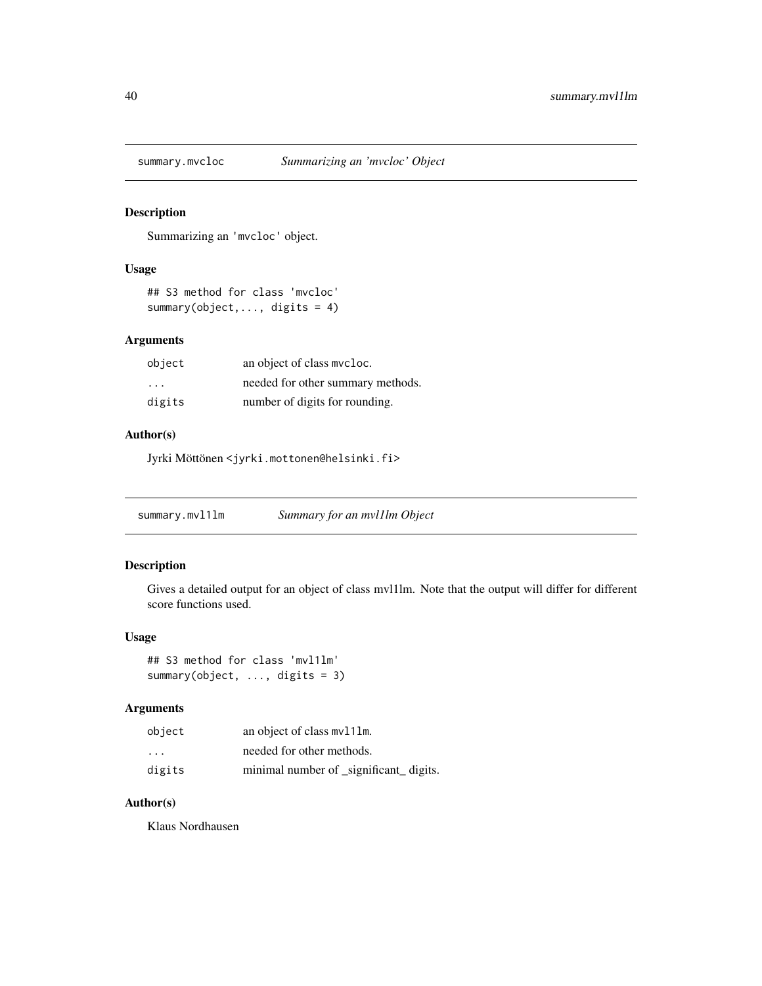<span id="page-39-0"></span>

Summarizing an 'mvcloc' object.

# Usage

```
## S3 method for class 'mvcloc'
summary(object,..., digits = 4)
```
# Arguments

| object                  | an object of class mycloc.        |
|-------------------------|-----------------------------------|
| $\cdot$ $\cdot$ $\cdot$ | needed for other summary methods. |
| digits                  | number of digits for rounding.    |

# Author(s)

Jyrki Möttönen <jyrki.mottonen@helsinki.fi>

summary.mvl1lm *Summary for an mvl1lm Object*

# Description

Gives a detailed output for an object of class mvl1lm. Note that the output will differ for different score functions used.

#### Usage

```
## S3 method for class 'mvl1lm'
summary(object, ..., digits = 3)
```
#### Arguments

| object                  | an object of class mv111m.              |
|-------------------------|-----------------------------------------|
| $\cdot$ $\cdot$ $\cdot$ | needed for other methods.               |
| digits                  | minimal number of _significant_ digits. |

# Author(s)

Klaus Nordhausen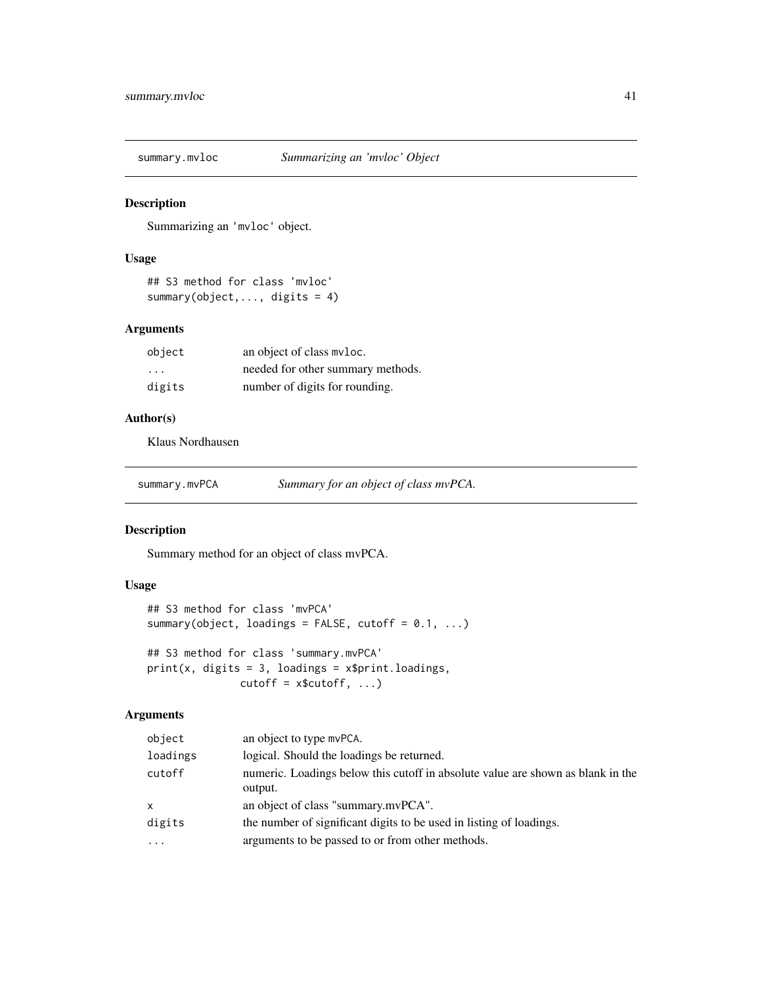<span id="page-40-0"></span>summary.mvloc *Summarizing an 'mvloc' Object*

#### Description

Summarizing an 'mvloc' object.

#### Usage

```
## S3 method for class 'mvloc'
summary(object,..., digits = 4)
```
# Arguments

| object   | an object of class myloc.         |
|----------|-----------------------------------|
| $\cdots$ | needed for other summary methods. |
| digits   | number of digits for rounding.    |

#### Author(s)

Klaus Nordhausen

summary.mvPCA *Summary for an object of class mvPCA.*

# Description

Summary method for an object of class mvPCA.

# Usage

```
## S3 method for class 'mvPCA'
summary(object, loadings = FALSE, cutoff = 0.1, ...)
## S3 method for class 'summary.mvPCA'
print(x, digits = 3, loadings = x$print.loadings,cutoff = x$cutoff, ...)
```
# Arguments

| object   | an object to type mvPCA.                                                                   |
|----------|--------------------------------------------------------------------------------------------|
| loadings | logical. Should the loadings be returned.                                                  |
| cutoff   | numeric. Loadings below this cutoff in absolute value are shown as blank in the<br>output. |
| X        | an object of class "summary.mvPCA".                                                        |
| digits   | the number of significant digits to be used in listing of loadings.                        |
| $\cdots$ | arguments to be passed to or from other methods.                                           |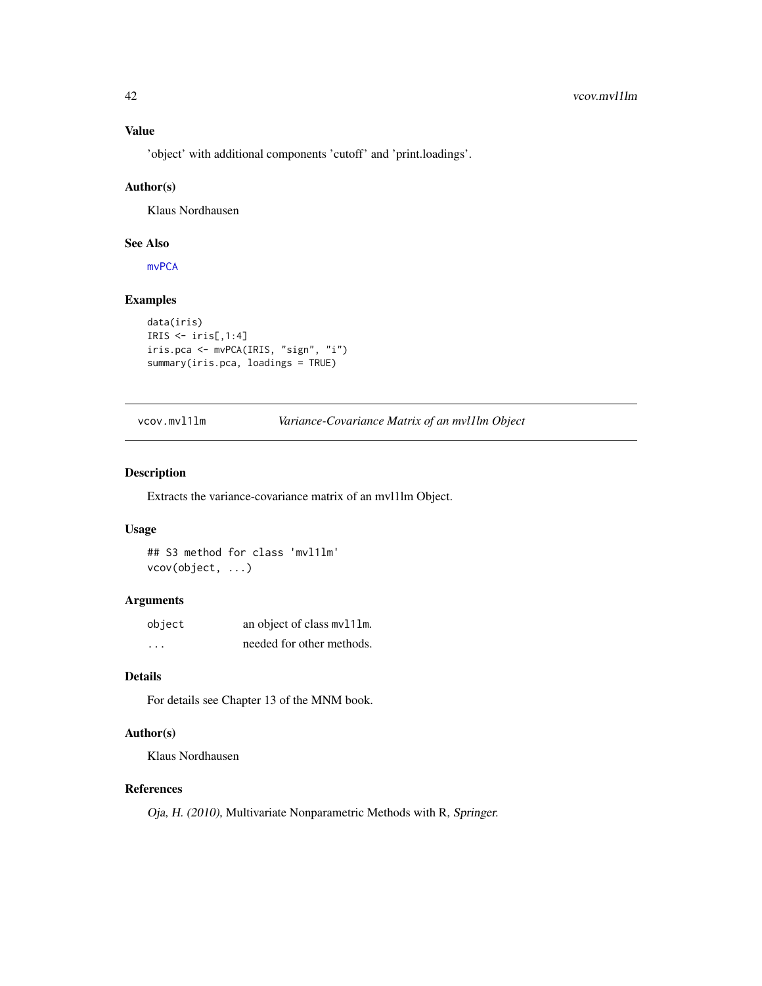# Value

'object' with additional components 'cutoff' and 'print.loadings'.

#### Author(s)

Klaus Nordhausen

#### See Also

[mvPCA](#page-23-1)

# Examples

```
data(iris)
IRIS \le iris[,1:4]
iris.pca <- mvPCA(IRIS, "sign", "i")
summary(iris.pca, loadings = TRUE)
```
# vcov.mvl1lm *Variance-Covariance Matrix of an mvl1lm Object*

#### Description

Extracts the variance-covariance matrix of an mvl1lm Object.

#### Usage

## S3 method for class 'mvl1lm' vcov(object, ...)

#### Arguments

| object  | an object of class mv111m. |
|---------|----------------------------|
| $\cdot$ | needed for other methods.  |

#### Details

For details see Chapter 13 of the MNM book.

# Author(s)

Klaus Nordhausen

# References

Oja, H. (2010), Multivariate Nonparametric Methods with R, Springer.

<span id="page-41-0"></span>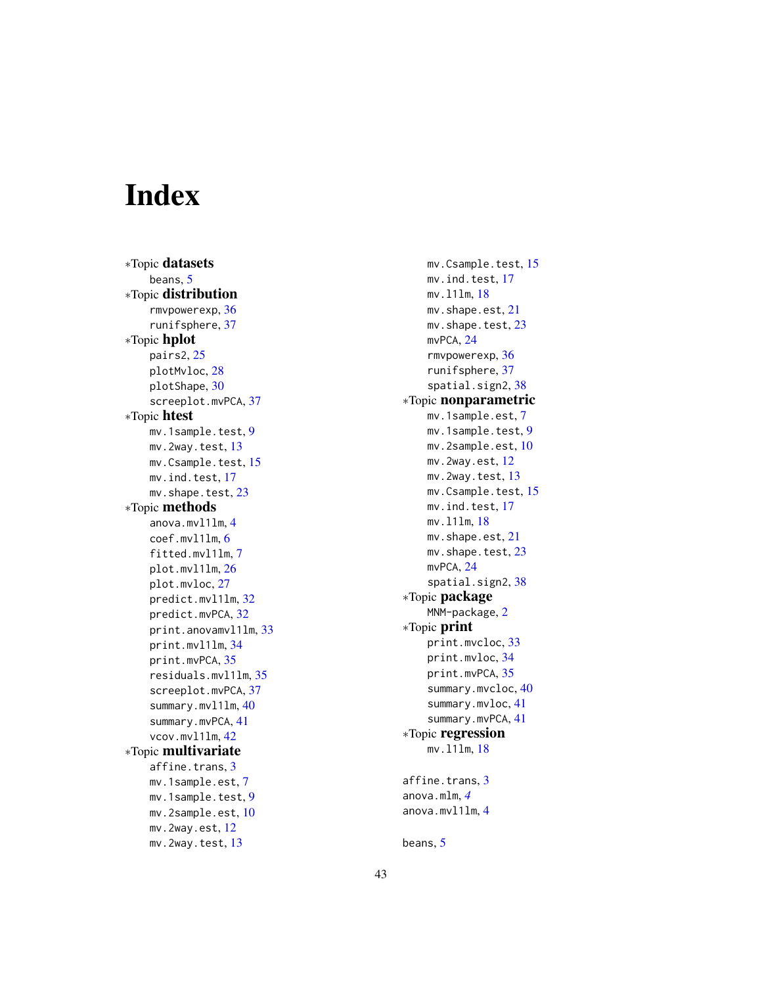# <span id="page-42-0"></span>Index

∗Topic datasets beans, [5](#page-4-0) ∗Topic distribution rmvpowerexp , [36](#page-35-0) runifsphere , [37](#page-36-0) ∗Topic hplot pairs2 , [25](#page-24-0) plotMvloc , [28](#page-27-0) plotShape , [30](#page-29-0) screeplot.mvPCA , [37](#page-36-0) ∗Topic htest mv.1sample.test , [9](#page-8-0)  $mv.2$ way.test,  $13$ mv.Csample.test , [15](#page-14-0) mv.ind.test , [17](#page-16-0) mv.shape.test, [23](#page-22-0) ∗Topic methods anova.mvl1lm , [4](#page-3-0) coef.mvl1lm , [6](#page-5-0) fitted.mvl1lm , [7](#page-6-0) plot.mvl1lm , [26](#page-25-0) plot.mvloc, [27](#page-26-0) predict.mvl1lm , [32](#page-31-0) predict.mvPCA, [32](#page-31-0) print.anovamvl1lm , [33](#page-32-0) print.mvl1lm , [34](#page-33-0) print.mvPCA, [35](#page-34-0) residuals.mvl1lm , [35](#page-34-0) screeplot.mvPCA, [37](#page-36-0) summary.mvl1lm, [40](#page-39-0) summary.mvPCA, [41](#page-40-0) vcov.mvl1lm , [42](#page-41-0) ∗Topic multivariate affine.trans, [3](#page-2-0) mv.1sample.est , [7](#page-6-0) mv.1sample.test , [9](#page-8-0) mv.2sample.est , [10](#page-9-0) mv.2way.est, [12](#page-11-0) mv.2way.test, [13](#page-12-0)

mv.Csample.test , [15](#page-14-0) mv.ind.test, [17](#page-16-0) mv.l1lm , [18](#page-17-0) mv.shape.est, [21](#page-20-0) mv.shape.test, [23](#page-22-0) mvPCA, [24](#page-23-0) rmvpowerexp , [36](#page-35-0) runifsphere , [37](#page-36-0) spatial.sign2, [38](#page-37-0) ∗Topic nonparametric mv.1sample.est , [7](#page-6-0) mv.1sample.test , [9](#page-8-0) mv.2sample.est,[10](#page-9-0) <code>mv.2way.est, $\overline{12}$  $\overline{12}$  $\overline{12}$ </code> mv.2way.test, [13](#page-12-0) mv.Csample.test , [15](#page-14-0) mv.ind.test , [17](#page-16-0) mv.l1lm , [18](#page-17-0) mv.shape.est, [21](#page-20-0) mv.shape.test, [23](#page-22-0) mvPCA, [24](#page-23-0) spatial.sign2, [38](#page-37-0) ∗Topic package MNM-package, [2](#page-1-0) ∗Topic print print.mvcloc , [33](#page-32-0) print.mvloc , [34](#page-33-0) print.mvPCA, [35](#page-34-0) summary.mvcloc, [40](#page-39-0) summary.mvloc, [41](#page-40-0) summary.mvPCA, [41](#page-40-0) ∗Topic regression mv.l1lm , [18](#page-17-0) affine.trans, [3](#page-2-0) anova.mlm , *[4](#page-3-0)* anova.mvl1lm , [4](#page-3-0)

beans, [5](#page-4-0)